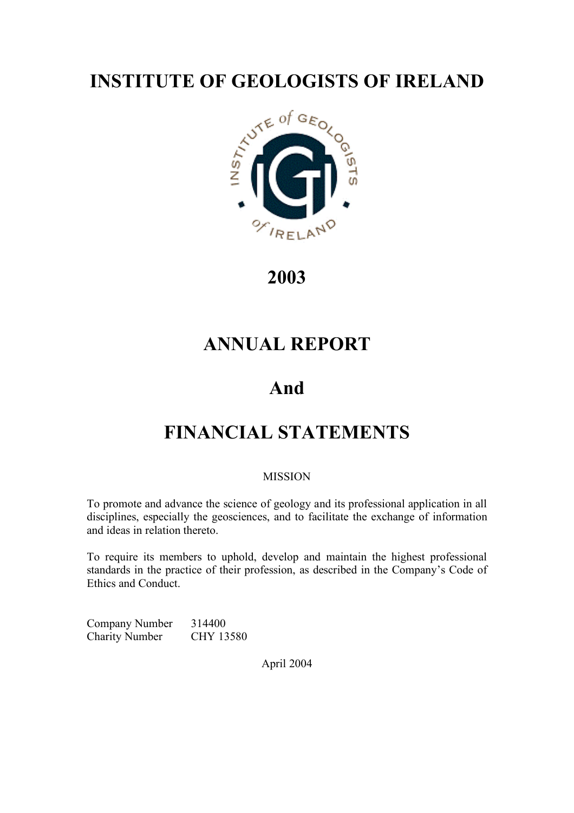

**2003**

## **ANNUAL REPORT**

# **And**

# **FINANCIAL STATEMENTS**

## **MISSION**

To promote and advance the science of geology and its professional application in all disciplines, especially the geosciences, and to facilitate the exchange of information and ideas in relation thereto.

To require its members to uphold, develop and maintain the highest professional standards in the practice of their profession, as described in the Company's Code of Ethics and Conduct.

Company Number 314400 Charity Number CHY 13580

April 2004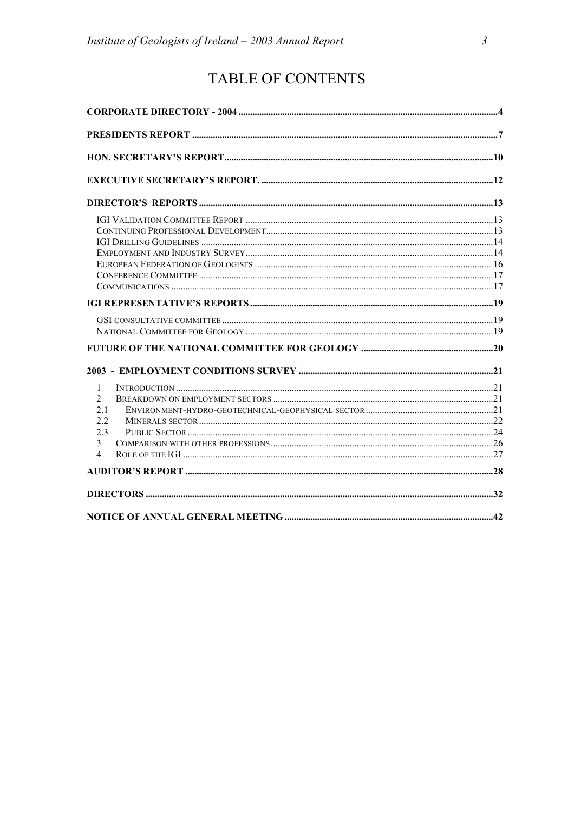## TABLE OF CONTENTS

| 1<br>$\overline{2}$<br>21 |  |
|---------------------------|--|
| 22<br>23<br>3             |  |
| 4                         |  |
|                           |  |
|                           |  |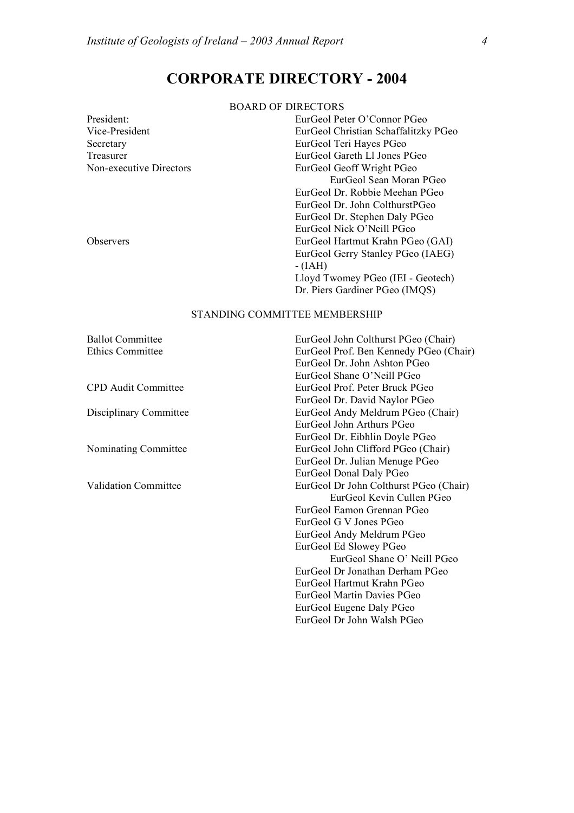## **CORPORATE DIRECTORY - 2004**

### BOARD OF DIRECTORS

| President:              | EurGeol Peter O'Connor PGeo          |
|-------------------------|--------------------------------------|
| Vice-President          | EurGeol Christian Schaffalitzky PGeo |
| Secretary               | EurGeol Teri Hayes PGeo              |
| Treasurer               | EurGeol Gareth Ll Jones PGeo         |
| Non-executive Directors | EurGeol Geoff Wright PGeo            |
|                         | EurGeol Sean Moran PGeo              |
|                         | EurGeol Dr. Robbie Meehan PGeo       |
|                         | EurGeol Dr. John ColthurstPGeo       |
|                         | EurGeol Dr. Stephen Daly PGeo        |
|                         | EurGeol Nick O'Neill PGeo            |
| <b>Observers</b>        | EurGeol Hartmut Krahn PGeo (GAI)     |
|                         | EurGeol Gerry Stanley PGeo (IAEG)    |
|                         | $- (IAH)$                            |
|                         | Lloyd Twomey PGeo (IEI - Geotech)    |
|                         | Dr. Piers Gardiner PGeo (IMQS)       |

### STANDING COMMITTEE MEMBERSHIP

Ballot Committee EurGeol John Colthurst PGeo (Chair) Ethics Committee EurGeol Prof. Ben Kennedy PGeo (Chair) EurGeol Dr. John Ashton PGeo EurGeol Shane O'Neill PGeo CPD Audit Committee EurGeol Prof. Peter Bruck PGeo EurGeol Dr. David Naylor PGeo Disciplinary Committee EurGeol Andy Meldrum PGeo (Chair) EurGeol John Arthurs PGeo EurGeol Dr. Eibhlin Doyle PGeo Nominating Committee EurGeol John Clifford PGeo (Chair) EurGeol Dr. Julian Menuge PGeo EurGeol Donal Daly PGeo Validation Committee EurGeol Dr John Colthurst PGeo (Chair) EurGeol Kevin Cullen PGeo EurGeol Eamon Grennan PGeo EurGeol G V Jones PGeo EurGeol Andy Meldrum PGeo EurGeol Ed Slowey PGeo EurGeol Shane O' Neill PGeo EurGeol Dr Jonathan Derham PGeo EurGeol Hartmut Krahn PGeo EurGeol Martin Davies PGeo EurGeol Eugene Daly PGeo EurGeol Dr John Walsh PGeo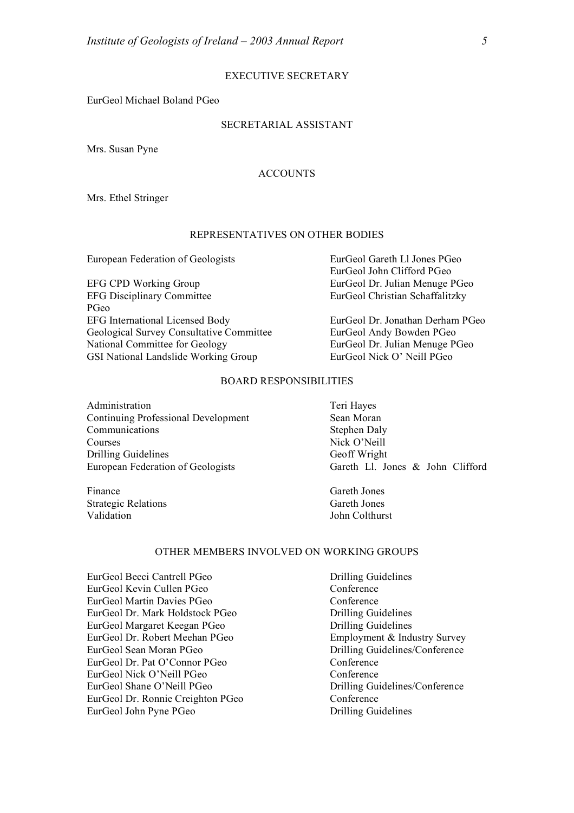EurGeol Michael Boland PGeo

### SECRETARIAL ASSISTANT

Mrs. Susan Pyne

### ACCOUNTS

Mrs. Ethel Stringer

### REPRESENTATIVES ON OTHER BODIES

European Federation of Geologists EurGeol Gareth Ll Jones PGeo

EFG CPD Working Group EurGeol Dr. Julian Menuge PGeo EFG Disciplinary Committee EurGeol Christian Schaffalitzky PGeo EFG International Licensed Body EurGeol Dr. Jonathan Derham PGeo Geological Survey Consultative Committee EurGeol Andy Bowden PGeo National Committee for Geology EurGeol Dr. Julian Menuge PGeo GSI National Landslide Working Group EurGeol Nick O' Neill PGeo

EurGeol John Clifford PGeo

### BOARD RESPONSIBILITIES

Administration Teri Hayes Continuing Professional Development Sean Moran Communications Stephen Daly Courses Nick O'Neill Drilling Guidelines Geoff Wright European Federation of Geologists Gareth Ll. Jones & John Clifford

Finance Gareth Jones Strategic Relations Gareth Jones Validation John Colthurst

### OTHER MEMBERS INVOLVED ON WORKING GROUPS

EurGeol Becci Cantrell PGeo Drilling Guidelines EurGeol Kevin Cullen PGeo Conference EurGeol Martin Davies PGeo Conference EurGeol Dr. Mark Holdstock PGeo Drilling Guidelines EurGeol Margaret Keegan PGeo Drilling Guidelines EurGeol Dr. Robert Meehan PGeo<br>
Employment & Industry Survey<br>
EurGeol Sean Moran PGeo<br>
Prilling Guidelines/Conference EurGeol Dr. Pat O'Connor PGeo Conference EurGeol Nick O'Neill PGeo Conference EurGeol Shane O'Neill PGeo Drilling Guidelines/Conference EurGeol Dr. Ronnie Creighton PGeo Conference EurGeol John Pyne PGeo Drilling Guidelines

Drilling Guidelines/Conference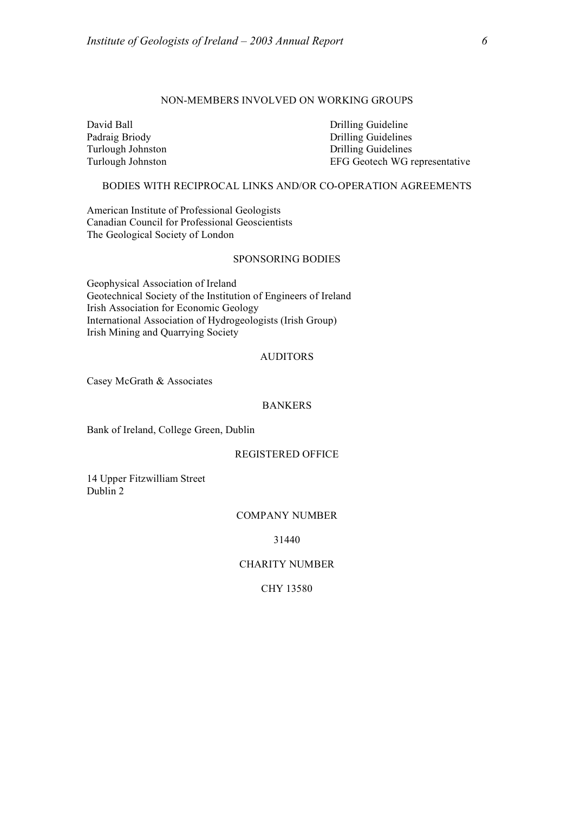### NON-MEMBERS INVOLVED ON WORKING GROUPS

David Ball Drilling Guideline

Padraig Briody Drilling Guidelines Turlough Johnston Drilling Guidelines Turlough Johnston EFG Geotech WG representative

### BODIES WITH RECIPROCAL LINKS AND/OR CO-OPERATION AGREEMENTS

American Institute of Professional Geologists Canadian Council for Professional Geoscientists The Geological Society of London

### SPONSORING BODIES

Geophysical Association of Ireland Geotechnical Society of the Institution of Engineers of Ireland Irish Association for Economic Geology International Association of Hydrogeologists (Irish Group) Irish Mining and Quarrying Society

### AUDITORS

Casey McGrath & Associates

### BANKERS

Bank of Ireland, College Green, Dublin

### REGISTERED OFFICE

14 Upper Fitzwilliam Street Dublin 2

### COMPANY NUMBER

31440

### CHARITY NUMBER

CHY 13580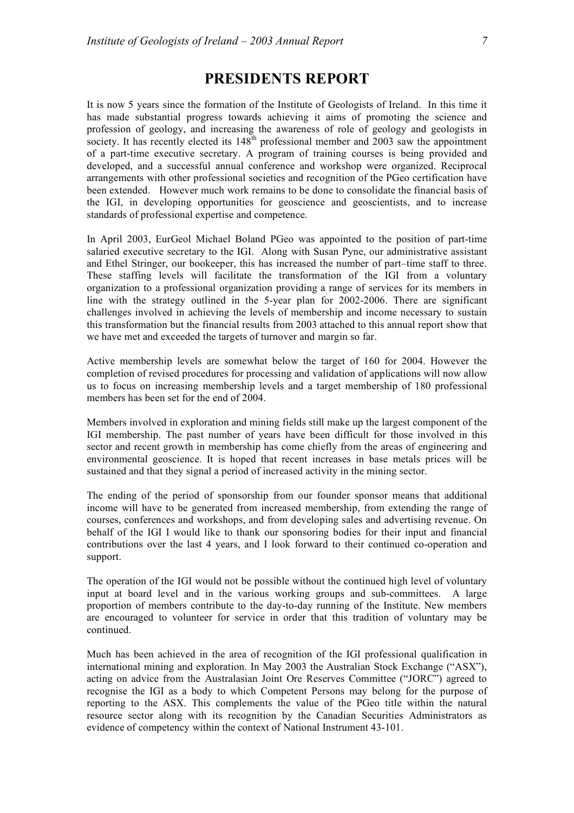## **PRESIDENTS REPORT**

It is now 5 years since the formation of the Institute of Geologists of Ireland. In this time it has made substantial progress towards achieving it aims of promoting the science and profession of geology, and increasing the awareness of role of geology and geologists in society. It has recently elected its  $148<sup>th</sup>$  professional member and 2003 saw the appointment of a part-time executive secretary. A program of training courses is being provided and developed, and a successful annual conference and workshop were organized. Reciprocal arrangements with other professional societies and recognition of the PGeo certification have been extended. However much work remains to be done to consolidate the financial basis of the IGI, in developing opportunities for geoscience and geoscientists, and to increase standards of professional expertise and competence.

In April 2003, EurGeol Michael Boland PGeo was appointed to the position of part-time salaried executive secretary to the IGI. Along with Susan Pyne, our administrative assistant and Ethel Stringer, our bookeeper, this has increased the number of part–time staff to three. These staffing levels will facilitate the transformation of the IGI from a voluntary organization to a professional organization providing a range of services for its members in line with the strategy outlined in the 5-year plan for 2002-2006. There are significant challenges involved in achieving the levels of membership and income necessary to sustain this transformation but the financial results from 2003 attached to this annual report show that we have met and exceeded the targets of turnover and margin so far.

Active membership levels are somewhat below the target of 160 for 2004. However the completion of revised procedures for processing and validation of applications will now allow us to focus on increasing membership levels and a target membership of 180 professional members has been set for the end of 2004.

Members involved in exploration and mining fields still make up the largest component of the IGI membership. The past number of years have been difficult for those involved in this sector and recent growth in membership has come chiefly from the areas of engineering and environmental geoscience. It is hoped that recent increases in base metals prices will be sustained and that they signal a period of increased activity in the mining sector.

The ending of the period of sponsorship from our founder sponsor means that additional income will have to be generated from increased membership, from extending the range of courses, conferences and workshops, and from developing sales and advertising revenue. On behalf of the IGI I would like to thank our sponsoring bodies for their input and financial contributions over the last 4 years, and I look forward to their continued co-operation and support.

The operation of the IGI would not be possible without the continued high level of voluntary input at board level and in the various working groups and sub-committees. A large proportion of members contribute to the day-to-day running of the Institute. New members are encouraged to volunteer for service in order that this tradition of voluntary may be continued.

Much has been achieved in the area of recognition of the IGI professional qualification in international mining and exploration. In May 2003 the Australian Stock Exchange ("ASX"), acting on advice from the Australasian Joint Ore Reserves Committee ("JORC") agreed to recognise the IGI as a body to which Competent Persons may belong for the purpose of reporting to the ASX. This complements the value of the PGeo title within the natural resource sector along with its recognition by the Canadian Securities Administrators as evidence of competency within the context of National Instrument 43-101.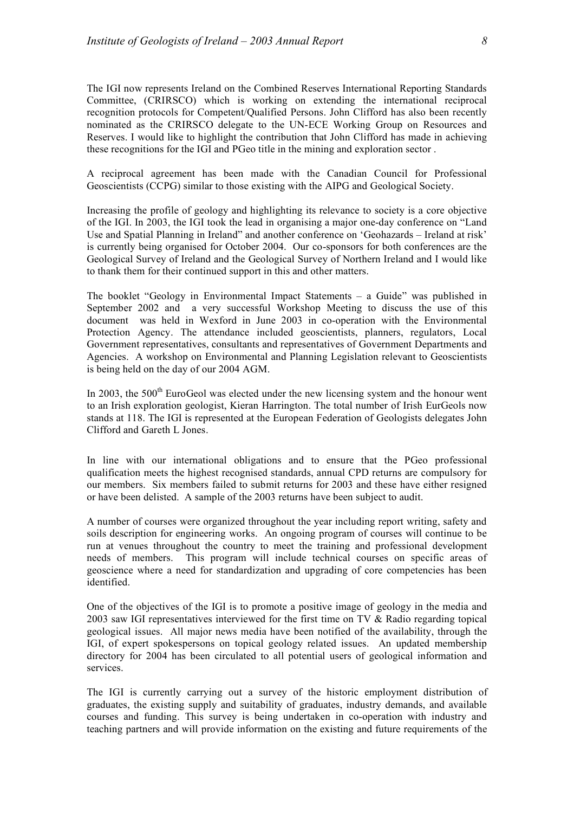The IGI now represents Ireland on the Combined Reserves International Reporting Standards Committee, (CRIRSCO) which is working on extending the international reciprocal recognition protocols for Competent/Qualified Persons. John Clifford has also been recently nominated as the CRIRSCO delegate to the UN-ECE Working Group on Resources and Reserves. I would like to highlight the contribution that John Clifford has made in achieving these recognitions for the IGI and PGeo title in the mining and exploration sector .

A reciprocal agreement has been made with the Canadian Council for Professional Geoscientists (CCPG) similar to those existing with the AIPG and Geological Society.

Increasing the profile of geology and highlighting its relevance to society is a core objective of the IGI. In 2003, the IGI took the lead in organising a major one-day conference on "Land Use and Spatial Planning in Ireland" and another conference on 'Geohazards – Ireland at risk' is currently being organised for October 2004. Our co-sponsors for both conferences are the Geological Survey of Ireland and the Geological Survey of Northern Ireland and I would like to thank them for their continued support in this and other matters.

The booklet "Geology in Environmental Impact Statements – a Guide" was published in September 2002 and a very successful Workshop Meeting to discuss the use of this document was held in Wexford in June 2003 in co-operation with the Environmental Protection Agency. The attendance included geoscientists, planners, regulators, Local Government representatives, consultants and representatives of Government Departments and Agencies. A workshop on Environmental and Planning Legislation relevant to Geoscientists is being held on the day of our 2004 AGM.

In 2003, the  $500<sup>th</sup>$  EuroGeol was elected under the new licensing system and the honour went to an Irish exploration geologist, Kieran Harrington. The total number of Irish EurGeols now stands at 118. The IGI is represented at the European Federation of Geologists delegates John Clifford and Gareth L Jones.

In line with our international obligations and to ensure that the PGeo professional qualification meets the highest recognised standards, annual CPD returns are compulsory for our members. Six members failed to submit returns for 2003 and these have either resigned or have been delisted. A sample of the 2003 returns have been subject to audit.

A number of courses were organized throughout the year including report writing, safety and soils description for engineering works. An ongoing program of courses will continue to be run at venues throughout the country to meet the training and professional development needs of members. This program will include technical courses on specific areas of geoscience where a need for standardization and upgrading of core competencies has been identified.

One of the objectives of the IGI is to promote a positive image of geology in the media and 2003 saw IGI representatives interviewed for the first time on TV & Radio regarding topical geological issues. All major news media have been notified of the availability, through the IGI, of expert spokespersons on topical geology related issues. An updated membership directory for 2004 has been circulated to all potential users of geological information and services.

The IGI is currently carrying out a survey of the historic employment distribution of graduates, the existing supply and suitability of graduates, industry demands, and available courses and funding. This survey is being undertaken in co-operation with industry and teaching partners and will provide information on the existing and future requirements of the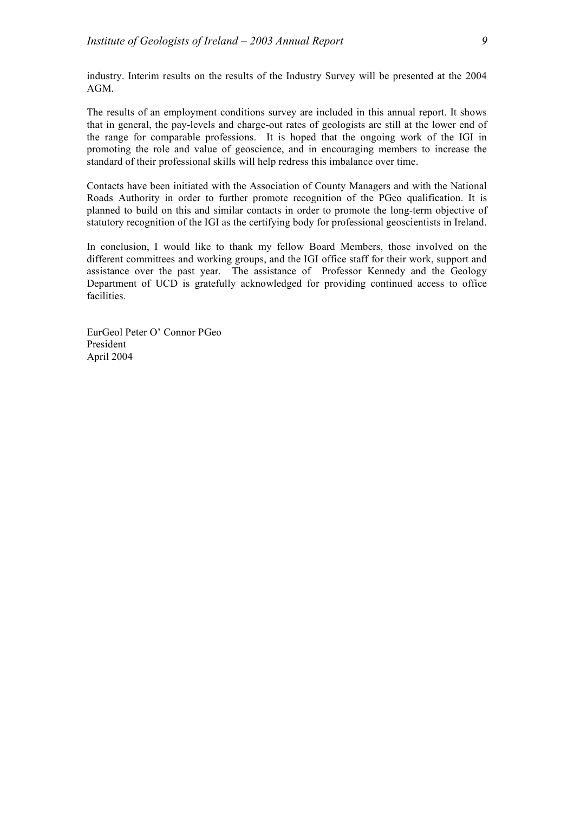industry. Interim results on the results of the Industry Survey will be presented at the 2004 AGM.

The results of an employment conditions survey are included in this annual report. It shows that in general, the pay-levels and charge-out rates of geologists are still at the lower end of the range for comparable professions. It is hoped that the ongoing work of the IGI in promoting the role and value of geoscience, and in encouraging members to increase the standard of their professional skills will help redress this imbalance over time.

Contacts have been initiated with the Association of County Managers and with the National Roads Authority in order to further promote recognition of the PGeo qualification. It is planned to build on this and similar contacts in order to promote the long-term objective of statutory recognition of the IGI as the certifying body for professional geoscientists in Ireland.

In conclusion, I would like to thank my fellow Board Members, those involved on the different committees and working groups, and the IGI office staff for their work, support and assistance over the past year. The assistance of Professor Kennedy and the Geology Department of UCD is gratefully acknowledged for providing continued access to office facilities.

EurGeol Peter O' Connor PGeo President April 2004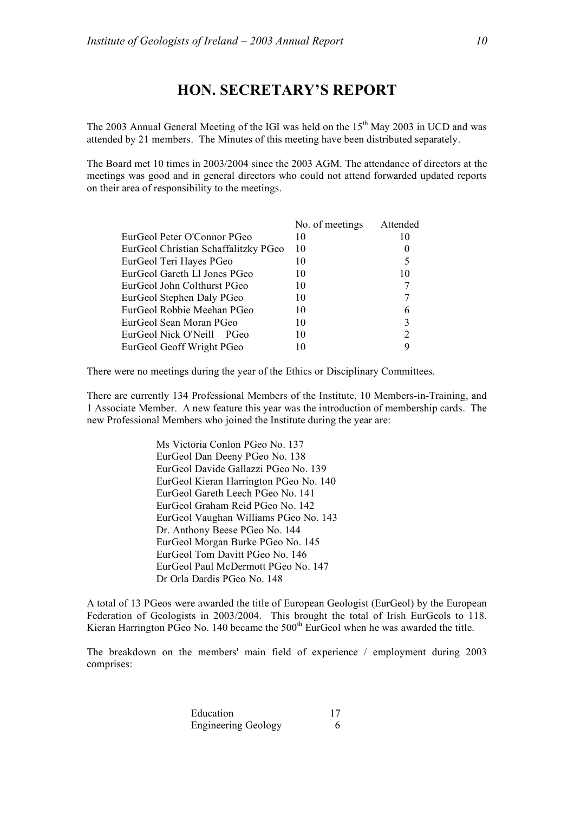## **HON. SECRETARY'S REPORT**

The 2003 Annual General Meeting of the IGI was held on the  $15<sup>th</sup>$  May 2003 in UCD and was attended by 21 members. The Minutes of this meeting have been distributed separately.

The Board met 10 times in 2003/2004 since the 2003 AGM. The attendance of directors at the meetings was good and in general directors who could not attend forwarded updated reports on their area of responsibility to the meetings.

|                                      | No. of meetings | Attended |
|--------------------------------------|-----------------|----------|
| EurGeol Peter O'Connor PGeo          | 10              | 10       |
| EurGeol Christian Schaffalitzky PGeo | 10              |          |
| EurGeol Teri Hayes PGeo              | 10              | 5        |
| EurGeol Gareth Ll Jones PGeo         | 10              | 10       |
| EurGeol John Colthurst PGeo          | 10              |          |
| EurGeol Stephen Daly PGeo            | 10              |          |
| EurGeol Robbie Meehan PGeo           | 10              | 6        |
| EurGeol Sean Moran PGeo              | 10              | 3        |
| EurGeol Nick O'Neill<br>PGeo         | 10              | 2        |
| EurGeol Geoff Wright PGeo            | 10              |          |

There were no meetings during the year of the Ethics or Disciplinary Committees.

There are currently 134 Professional Members of the Institute, 10 Members-in-Training, and 1 Associate Member. A new feature this year was the introduction of membership cards. The new Professional Members who joined the Institute during the year are:

> Ms Victoria Conlon PGeo No. 137 EurGeol Dan Deeny PGeo No. 138 EurGeol Davide Gallazzi PGeo No. 139 EurGeol Kieran Harrington PGeo No. 140 EurGeol Gareth Leech PGeo No. 141 EurGeol Graham Reid PGeo No. 142 EurGeol Vaughan Williams PGeo No. 143 Dr. Anthony Beese PGeo No. 144 EurGeol Morgan Burke PGeo No. 145 EurGeol Tom Davitt PGeo No. 146 EurGeol Paul McDermott PGeo No. 147 Dr Orla Dardis PGeo No. 148

A total of 13 PGeos were awarded the title of European Geologist (EurGeol) by the European Federation of Geologists in 2003/2004. This brought the total of Irish EurGeols to 118. Kieran Harrington PGeo No. 140 became the  $500<sup>th</sup>$  EurGeol when he was awarded the title.

The breakdown on the members' main field of experience / employment during 2003 comprises:

> Education 17 Engineering Geology 6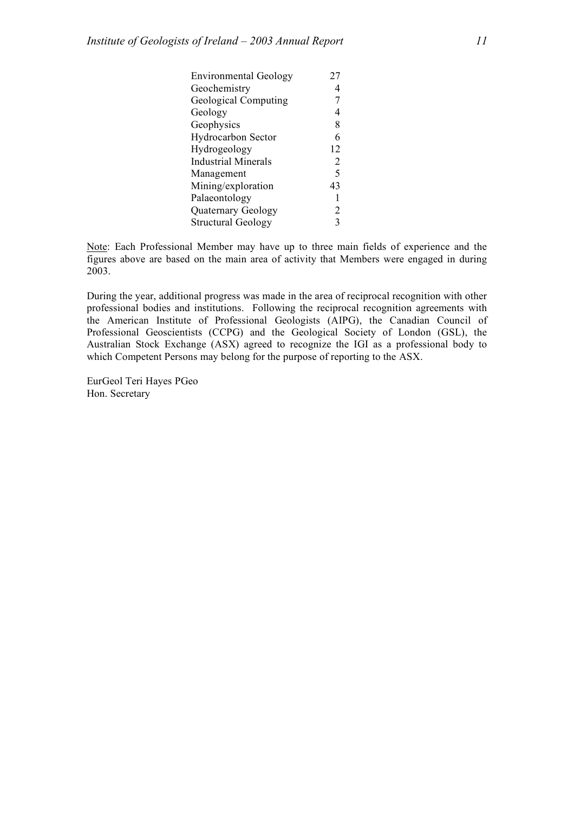| <b>Environmental Geology</b> | 27          |
|------------------------------|-------------|
| Geochemistry                 | 4           |
| <b>Geological Computing</b>  |             |
| Geology                      | 4           |
| Geophysics                   | 8           |
| <b>Hydrocarbon Sector</b>    | 6           |
| Hydrogeology                 | 12          |
| <b>Industrial Minerals</b>   | 2           |
| Management                   | $\varsigma$ |
| Mining/exploration           | 43          |
| Palaeontology                |             |
| Quaternary Geology           | 2           |
| <b>Structural Geology</b>    | 3           |

Note: Each Professional Member may have up to three main fields of experience and the figures above are based on the main area of activity that Members were engaged in during 2003.

During the year, additional progress was made in the area of reciprocal recognition with other professional bodies and institutions. Following the reciprocal recognition agreements with the American Institute of Professional Geologists (AIPG), the Canadian Council of Professional Geoscientists (CCPG) and the Geological Society of London (GSL), the Australian Stock Exchange (ASX) agreed to recognize the IGI as a professional body to which Competent Persons may belong for the purpose of reporting to the ASX.

EurGeol Teri Hayes PGeo Hon. Secretary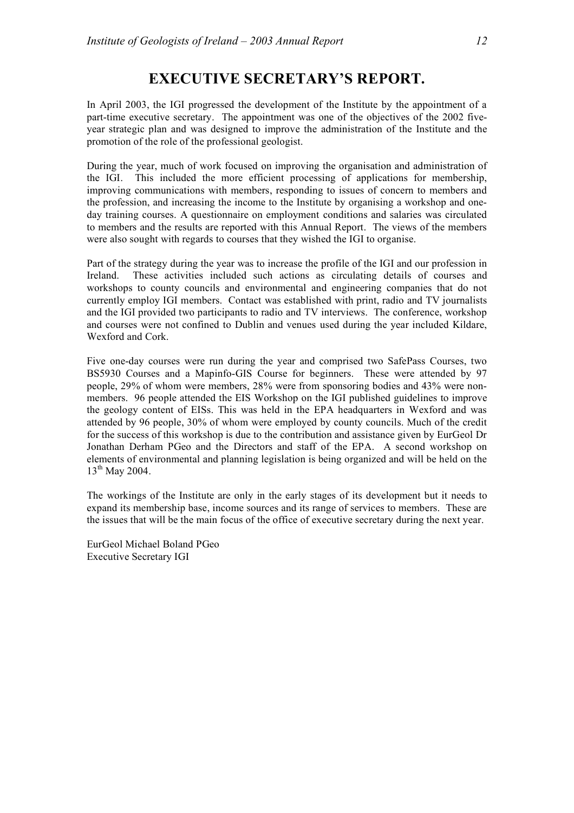## **EXECUTIVE SECRETARY'S REPORT.**

In April 2003, the IGI progressed the development of the Institute by the appointment of a part-time executive secretary. The appointment was one of the objectives of the 2002 fiveyear strategic plan and was designed to improve the administration of the Institute and the promotion of the role of the professional geologist.

During the year, much of work focused on improving the organisation and administration of the IGI. This included the more efficient processing of applications for membership, improving communications with members, responding to issues of concern to members and the profession, and increasing the income to the Institute by organising a workshop and oneday training courses. A questionnaire on employment conditions and salaries was circulated to members and the results are reported with this Annual Report. The views of the members were also sought with regards to courses that they wished the IGI to organise.

Part of the strategy during the year was to increase the profile of the IGI and our profession in Ireland. These activities included such actions as circulating details of courses and workshops to county councils and environmental and engineering companies that do not currently employ IGI members. Contact was established with print, radio and TV journalists and the IGI provided two participants to radio and TV interviews. The conference, workshop and courses were not confined to Dublin and venues used during the year included Kildare, Wexford and Cork.

Five one-day courses were run during the year and comprised two SafePass Courses, two BS5930 Courses and a Mapinfo-GIS Course for beginners. These were attended by 97 people, 29% of whom were members, 28% were from sponsoring bodies and 43% were nonmembers. 96 people attended the EIS Workshop on the IGI published guidelines to improve the geology content of EISs. This was held in the EPA headquarters in Wexford and was attended by 96 people, 30% of whom were employed by county councils. Much of the credit for the success of this workshop is due to the contribution and assistance given by EurGeol Dr Jonathan Derham PGeo and the Directors and staff of the EPA. A second workshop on elements of environmental and planning legislation is being organized and will be held on the  $13^{th}$  May 2004.

The workings of the Institute are only in the early stages of its development but it needs to expand its membership base, income sources and its range of services to members. These are the issues that will be the main focus of the office of executive secretary during the next year.

EurGeol Michael Boland PGeo Executive Secretary IGI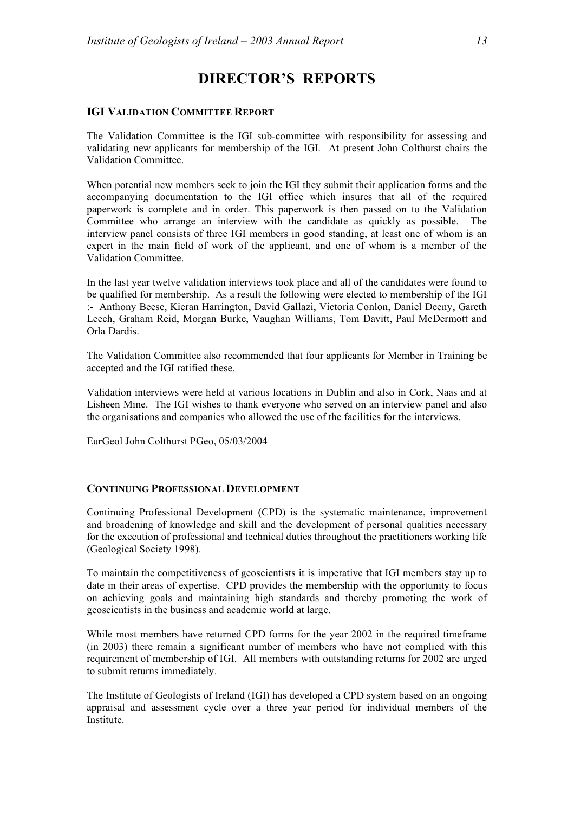## **DIRECTOR'S REPORTS**

### **IGI VALIDATION COMMITTEE REPORT**

The Validation Committee is the IGI sub-committee with responsibility for assessing and validating new applicants for membership of the IGI. At present John Colthurst chairs the Validation Committee.

When potential new members seek to join the IGI they submit their application forms and the accompanying documentation to the IGI office which insures that all of the required paperwork is complete and in order. This paperwork is then passed on to the Validation Committee who arrange an interview with the candidate as quickly as possible. The interview panel consists of three IGI members in good standing, at least one of whom is an expert in the main field of work of the applicant, and one of whom is a member of the Validation Committee.

In the last year twelve validation interviews took place and all of the candidates were found to be qualified for membership. As a result the following were elected to membership of the IGI :- Anthony Beese, Kieran Harrington, David Gallazi, Victoria Conlon, Daniel Deeny, Gareth Leech, Graham Reid, Morgan Burke, Vaughan Williams, Tom Davitt, Paul McDermott and Orla Dardis.

The Validation Committee also recommended that four applicants for Member in Training be accepted and the IGI ratified these.

Validation interviews were held at various locations in Dublin and also in Cork, Naas and at Lisheen Mine. The IGI wishes to thank everyone who served on an interview panel and also the organisations and companies who allowed the use of the facilities for the interviews.

EurGeol John Colthurst PGeo, 05/03/2004

### **CONTINUING PROFESSIONAL DEVELOPMENT**

Continuing Professional Development (CPD) is the systematic maintenance, improvement and broadening of knowledge and skill and the development of personal qualities necessary for the execution of professional and technical duties throughout the practitioners working life (Geological Society 1998).

To maintain the competitiveness of geoscientists it is imperative that IGI members stay up to date in their areas of expertise. CPD provides the membership with the opportunity to focus on achieving goals and maintaining high standards and thereby promoting the work of geoscientists in the business and academic world at large.

While most members have returned CPD forms for the year 2002 in the required timeframe (in 2003) there remain a significant number of members who have not complied with this requirement of membership of IGI. All members with outstanding returns for 2002 are urged to submit returns immediately.

The Institute of Geologists of Ireland (IGI) has developed a CPD system based on an ongoing appraisal and assessment cycle over a three year period for individual members of the Institute.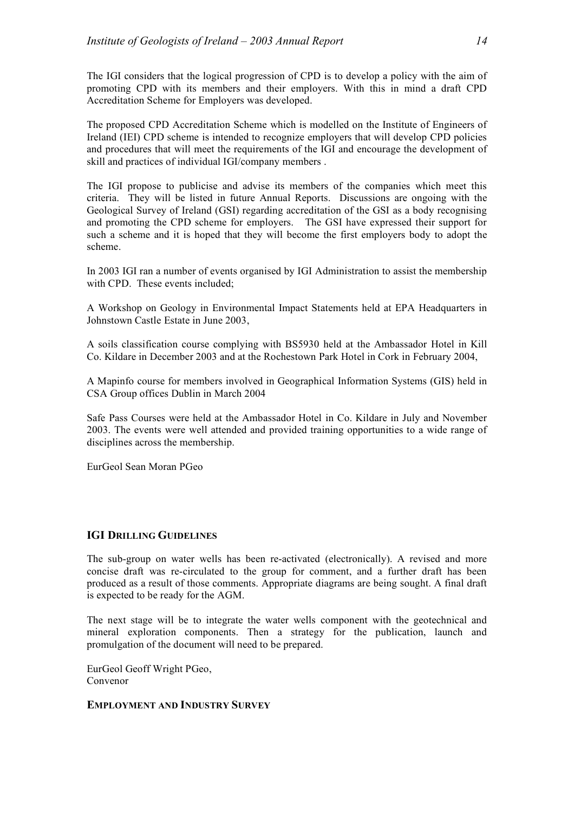The IGI considers that the logical progression of CPD is to develop a policy with the aim of promoting CPD with its members and their employers. With this in mind a draft CPD Accreditation Scheme for Employers was developed.

The proposed CPD Accreditation Scheme which is modelled on the Institute of Engineers of Ireland (IEI) CPD scheme is intended to recognize employers that will develop CPD policies and procedures that will meet the requirements of the IGI and encourage the development of skill and practices of individual IGI/company members .

The IGI propose to publicise and advise its members of the companies which meet this criteria. They will be listed in future Annual Reports. Discussions are ongoing with the Geological Survey of Ireland (GSI) regarding accreditation of the GSI as a body recognising and promoting the CPD scheme for employers. The GSI have expressed their support for such a scheme and it is hoped that they will become the first employers body to adopt the scheme.

In 2003 IGI ran a number of events organised by IGI Administration to assist the membership with CPD. These events included:

A Workshop on Geology in Environmental Impact Statements held at EPA Headquarters in Johnstown Castle Estate in June 2003,

A soils classification course complying with BS5930 held at the Ambassador Hotel in Kill Co. Kildare in December 2003 and at the Rochestown Park Hotel in Cork in February 2004,

A Mapinfo course for members involved in Geographical Information Systems (GIS) held in CSA Group offices Dublin in March 2004

Safe Pass Courses were held at the Ambassador Hotel in Co. Kildare in July and November 2003. The events were well attended and provided training opportunities to a wide range of disciplines across the membership.

EurGeol Sean Moran PGeo

### **IGI DRILLING GUIDELINES**

The sub-group on water wells has been re-activated (electronically). A revised and more concise draft was re-circulated to the group for comment, and a further draft has been produced as a result of those comments. Appropriate diagrams are being sought. A final draft is expected to be ready for the AGM.

The next stage will be to integrate the water wells component with the geotechnical and mineral exploration components. Then a strategy for the publication, launch and promulgation of the document will need to be prepared.

EurGeol Geoff Wright PGeo, Convenor

### **EMPLOYMENT AND INDUSTRY SURVEY**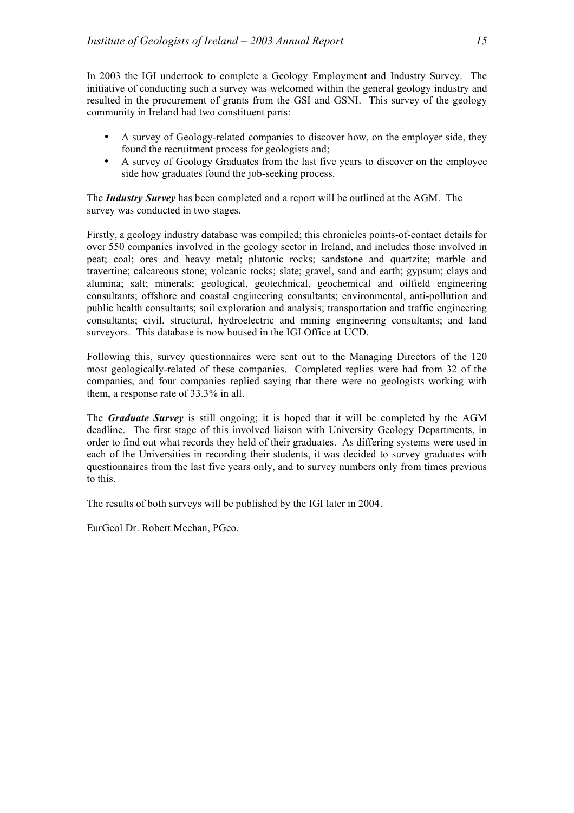In 2003 the IGI undertook to complete a Geology Employment and Industry Survey. The initiative of conducting such a survey was welcomed within the general geology industry and resulted in the procurement of grants from the GSI and GSNI. This survey of the geology community in Ireland had two constituent parts:

- A survey of Geology-related companies to discover how, on the employer side, they found the recruitment process for geologists and;
- A survey of Geology Graduates from the last five years to discover on the employee side how graduates found the job-seeking process.

The *Industry Survey* has been completed and a report will be outlined at the AGM. The survey was conducted in two stages.

Firstly, a geology industry database was compiled; this chronicles points-of-contact details for over 550 companies involved in the geology sector in Ireland, and includes those involved in peat; coal; ores and heavy metal; plutonic rocks; sandstone and quartzite; marble and travertine; calcareous stone; volcanic rocks; slate; gravel, sand and earth; gypsum; clays and alumina; salt; minerals; geological, geotechnical, geochemical and oilfield engineering consultants; offshore and coastal engineering consultants; environmental, anti-pollution and public health consultants; soil exploration and analysis; transportation and traffic engineering consultants; civil, structural, hydroelectric and mining engineering consultants; and land surveyors. This database is now housed in the IGI Office at UCD.

Following this, survey questionnaires were sent out to the Managing Directors of the 120 most geologically-related of these companies. Completed replies were had from 32 of the companies, and four companies replied saying that there were no geologists working with them, a response rate of 33.3% in all.

The *Graduate Survey* is still ongoing; it is hoped that it will be completed by the AGM deadline. The first stage of this involved liaison with University Geology Departments, in order to find out what records they held of their graduates. As differing systems were used in each of the Universities in recording their students, it was decided to survey graduates with questionnaires from the last five years only, and to survey numbers only from times previous to this.

The results of both surveys will be published by the IGI later in 2004.

EurGeol Dr. Robert Meehan, PGeo.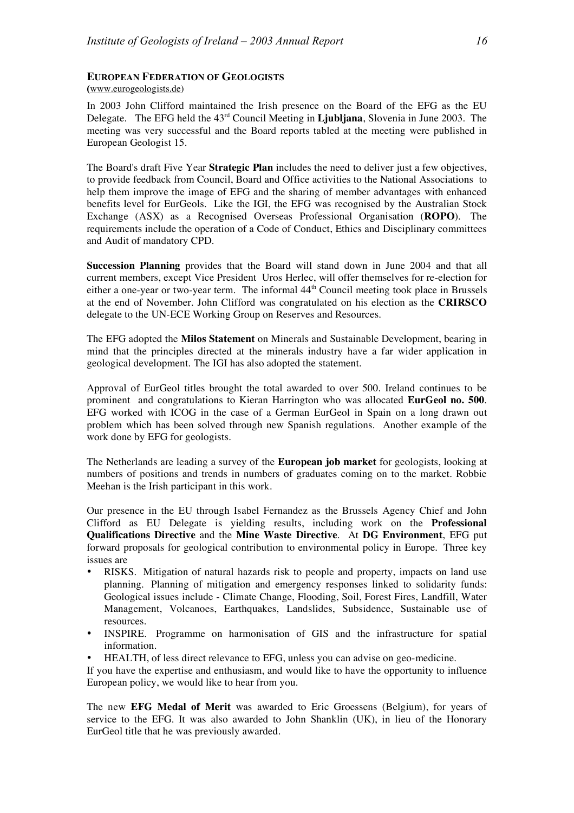### **EUROPEAN FEDERATION OF GEOLOGISTS**

**(**www.eurogeologists.de)

In 2003 John Clifford maintained the Irish presence on the Board of the EFG as the EU Delegate. The EFG held the 43rd Council Meeting in **Ljubljana**, Slovenia in June 2003. The meeting was very successful and the Board reports tabled at the meeting were published in European Geologist 15.

The Board's draft Five Year **Strategic Plan** includes the need to deliver just a few objectives, to provide feedback from Council, Board and Office activities to the National Associations to help them improve the image of EFG and the sharing of member advantages with enhanced benefits level for EurGeols. Like the IGI, the EFG was recognised by the Australian Stock Exchange (ASX) as a Recognised Overseas Professional Organisation (**ROPO**). The requirements include the operation of a Code of Conduct, Ethics and Disciplinary committees and Audit of mandatory CPD.

**Succession Planning** provides that the Board will stand down in June 2004 and that all current members, except Vice President Uros Herlec, will offer themselves for re-election for either a one-year or two-year term. The informal 44<sup>th</sup> Council meeting took place in Brussels at the end of November. John Clifford was congratulated on his election as the **CRIRSCO** delegate to the UN-ECE Working Group on Reserves and Resources.

The EFG adopted the **Milos Statement** on Minerals and Sustainable Development, bearing in mind that the principles directed at the minerals industry have a far wider application in geological development. The IGI has also adopted the statement.

Approval of EurGeol titles brought the total awarded to over 500. Ireland continues to be prominent and congratulations to Kieran Harrington who was allocated **EurGeol no. 500**. EFG worked with ICOG in the case of a German EurGeol in Spain on a long drawn out problem which has been solved through new Spanish regulations. Another example of the work done by EFG for geologists.

The Netherlands are leading a survey of the **European job market** for geologists, looking at numbers of positions and trends in numbers of graduates coming on to the market. Robbie Meehan is the Irish participant in this work.

Our presence in the EU through Isabel Fernandez as the Brussels Agency Chief and John Clifford as EU Delegate is yielding results, including work on the **Professional Qualifications Directive** and the **Mine Waste Directive**. At **DG Environment**, EFG put forward proposals for geological contribution to environmental policy in Europe. Three key issues are

- RISKS. Mitigation of natural hazards risk to people and property, impacts on land use planning. Planning of mitigation and emergency responses linked to solidarity funds: Geological issues include - Climate Change, Flooding, Soil, Forest Fires, Landfill, Water Management, Volcanoes, Earthquakes, Landslides, Subsidence, Sustainable use of resources.
- INSPIRE. Programme on harmonisation of GIS and the infrastructure for spatial information.
- HEALTH, of less direct relevance to EFG, unless you can advise on geo-medicine.

If you have the expertise and enthusiasm, and would like to have the opportunity to influence European policy, we would like to hear from you.

The new **EFG Medal of Merit** was awarded to Eric Groessens (Belgium), for years of service to the EFG. It was also awarded to John Shanklin (UK), in lieu of the Honorary EurGeol title that he was previously awarded.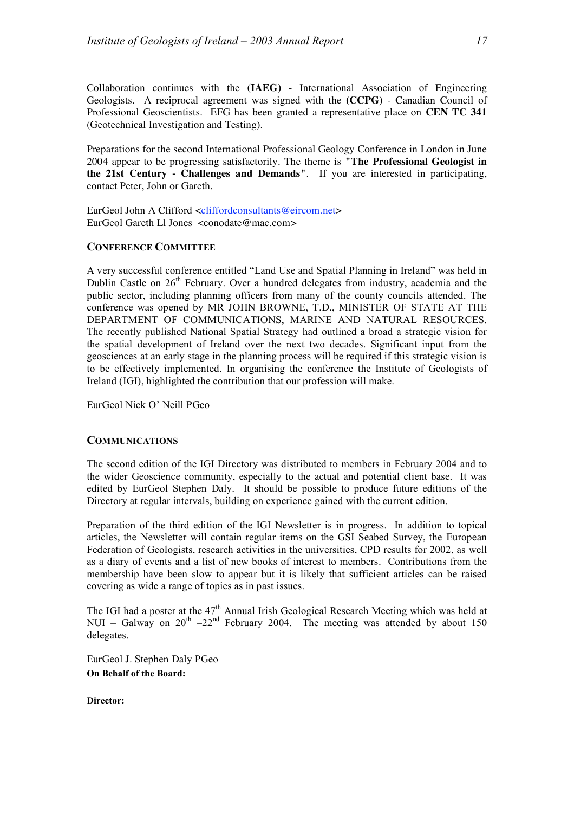Collaboration continues with the **(IAEG)** - International Association of Engineering Geologists. A reciprocal agreement was signed with the **(CCPG)** - Canadian Council of Professional Geoscientists. EFG has been granted a representative place on **CEN TC 341** (Geotechnical Investigation and Testing).

Preparations for the second International Professional Geology Conference in London in June 2004 appear to be progressing satisfactorily. The theme is **"The Professional Geologist in the 21st Century - Challenges and Demands"**. If you are interested in participating, contact Peter, John or Gareth.

EurGeol John A Clifford <cliffordconsultants@eircom.net> EurGeol Gareth Ll Jones <conodate@mac.com>

### **CONFERENCE COMMITTEE**

A very successful conference entitled "Land Use and Spatial Planning in Ireland" was held in Dublin Castle on 26<sup>th</sup> February. Over a hundred delegates from industry, academia and the public sector, including planning officers from many of the county councils attended. The conference was opened by MR JOHN BROWNE, T.D., MINISTER OF STATE AT THE DEPARTMENT OF COMMUNICATIONS, MARINE AND NATURAL RESOURCES. The recently published National Spatial Strategy had outlined a broad a strategic vision for the spatial development of Ireland over the next two decades. Significant input from the geosciences at an early stage in the planning process will be required if this strategic vision is to be effectively implemented. In organising the conference the Institute of Geologists of Ireland (IGI), highlighted the contribution that our profession will make.

EurGeol Nick O' Neill PGeo

### **COMMUNICATIONS**

The second edition of the IGI Directory was distributed to members in February 2004 and to the wider Geoscience community, especially to the actual and potential client base. It was edited by EurGeol Stephen Daly. It should be possible to produce future editions of the Directory at regular intervals, building on experience gained with the current edition.

Preparation of the third edition of the IGI Newsletter is in progress. In addition to topical articles, the Newsletter will contain regular items on the GSI Seabed Survey, the European Federation of Geologists, research activities in the universities, CPD results for 2002, as well as a diary of events and a list of new books of interest to members. Contributions from the membership have been slow to appear but it is likely that sufficient articles can be raised covering as wide a range of topics as in past issues.

The IGI had a poster at the  $47<sup>th</sup>$  Annual Irish Geological Research Meeting which was held at NUI – Galway on  $20^{th}$  –22<sup>nd</sup> February 2004. The meeting was attended by about 150 delegates.

EurGeol J. Stephen Daly PGeo **On Behalf of the Board:**

**Director:**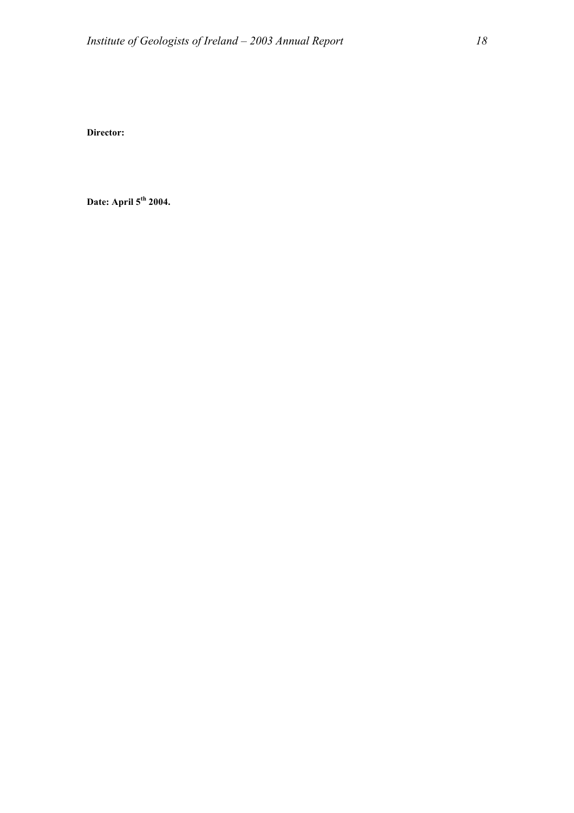**Director:**

**Date: April 5th 2004.**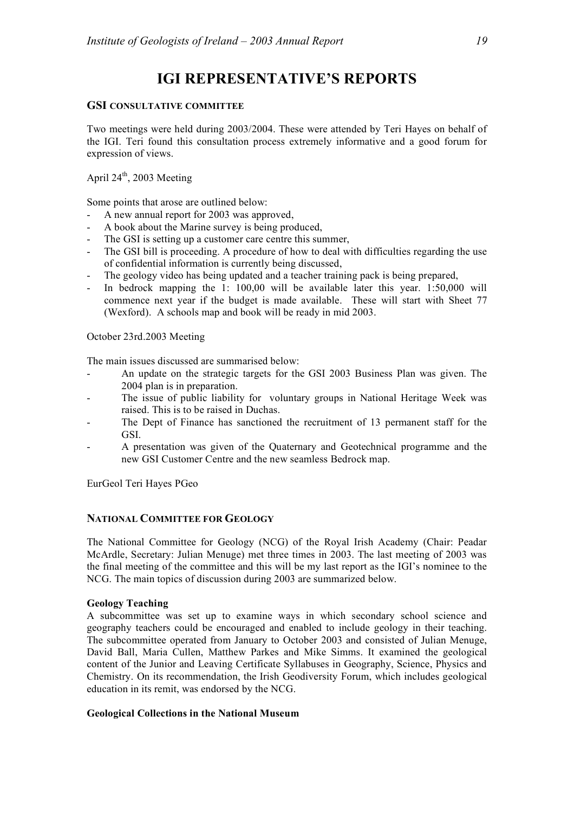## **IGI REPRESENTATIVE'S REPORTS**

### **GSI CONSULTATIVE COMMITTEE**

Two meetings were held during 2003/2004. These were attended by Teri Hayes on behalf of the IGI. Teri found this consultation process extremely informative and a good forum for expression of views.

## April 24<sup>th</sup>, 2003 Meeting

Some points that arose are outlined below:

- A new annual report for 2003 was approved.
- A book about the Marine survey is being produced,
- The GSI is setting up a customer care centre this summer,
- The GSI bill is proceeding. A procedure of how to deal with difficulties regarding the use of confidential information is currently being discussed,
- The geology video has being updated and a teacher training pack is being prepared,
- In bedrock mapping the 1:  $100,00$  will be available later this year.  $1:50,000$  will commence next year if the budget is made available. These will start with Sheet 77 (Wexford). A schools map and book will be ready in mid 2003.

### October 23rd.2003 Meeting

The main issues discussed are summarised below:

- An update on the strategic targets for the GSI 2003 Business Plan was given. The 2004 plan is in preparation.
- The issue of public liability for voluntary groups in National Heritage Week was raised. This is to be raised in Duchas.
- The Dept of Finance has sanctioned the recruitment of 13 permanent staff for the GSI.
- A presentation was given of the Quaternary and Geotechnical programme and the new GSI Customer Centre and the new seamless Bedrock map.

EurGeol Teri Hayes PGeo

### **NATIONAL COMMITTEE FOR GEOLOGY**

The National Committee for Geology (NCG) of the Royal Irish Academy (Chair: Peadar McArdle, Secretary: Julian Menuge) met three times in 2003. The last meeting of 2003 was the final meeting of the committee and this will be my last report as the IGI's nominee to the NCG. The main topics of discussion during 2003 are summarized below.

### **Geology Teaching**

A subcommittee was set up to examine ways in which secondary school science and geography teachers could be encouraged and enabled to include geology in their teaching. The subcommittee operated from January to October 2003 and consisted of Julian Menuge, David Ball, Maria Cullen, Matthew Parkes and Mike Simms. It examined the geological content of the Junior and Leaving Certificate Syllabuses in Geography, Science, Physics and Chemistry. On its recommendation, the Irish Geodiversity Forum, which includes geological education in its remit, was endorsed by the NCG.

### **Geological Collections in the National Museum**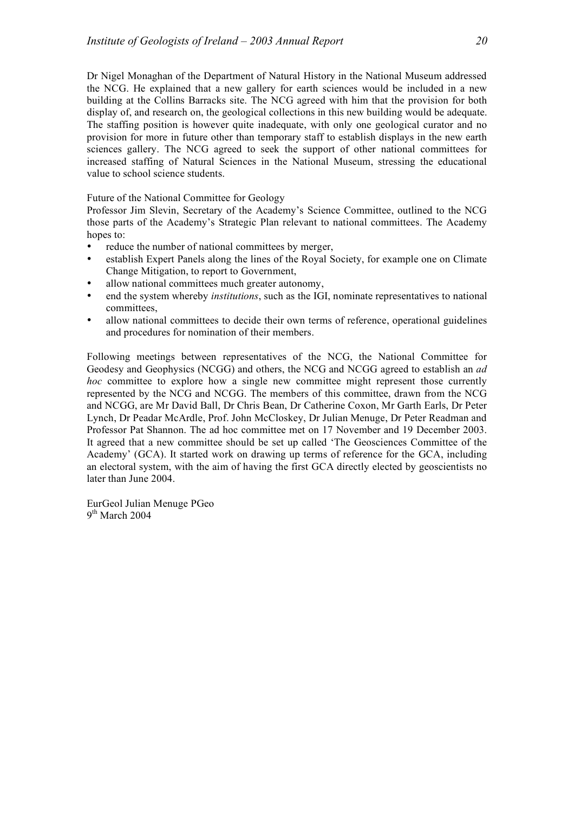Dr Nigel Monaghan of the Department of Natural History in the National Museum addressed the NCG. He explained that a new gallery for earth sciences would be included in a new building at the Collins Barracks site. The NCG agreed with him that the provision for both display of, and research on, the geological collections in this new building would be adequate. The staffing position is however quite inadequate, with only one geological curator and no provision for more in future other than temporary staff to establish displays in the new earth sciences gallery. The NCG agreed to seek the support of other national committees for increased staffing of Natural Sciences in the National Museum, stressing the educational value to school science students.

Future of the National Committee for Geology

Professor Jim Slevin, Secretary of the Academy's Science Committee, outlined to the NCG those parts of the Academy's Strategic Plan relevant to national committees. The Academy hopes to:

- reduce the number of national committees by merger,
- establish Expert Panels along the lines of the Royal Society, for example one on Climate Change Mitigation, to report to Government,
- allow national committees much greater autonomy.
- end the system whereby *institutions*, such as the IGI, nominate representatives to national committees,
- allow national committees to decide their own terms of reference, operational guidelines and procedures for nomination of their members.

Following meetings between representatives of the NCG, the National Committee for Geodesy and Geophysics (NCGG) and others, the NCG and NCGG agreed to establish an *ad hoc* committee to explore how a single new committee might represent those currently represented by the NCG and NCGG. The members of this committee, drawn from the NCG and NCGG, are Mr David Ball, Dr Chris Bean, Dr Catherine Coxon, Mr Garth Earls, Dr Peter Lynch, Dr Peadar McArdle, Prof. John McCloskey, Dr Julian Menuge, Dr Peter Readman and Professor Pat Shannon. The ad hoc committee met on 17 November and 19 December 2003. It agreed that a new committee should be set up called 'The Geosciences Committee of the Academy' (GCA). It started work on drawing up terms of reference for the GCA, including an electoral system, with the aim of having the first GCA directly elected by geoscientists no later than June 2004.

EurGeol Julian Menuge PGeo  $9<sup>th</sup>$  March 2004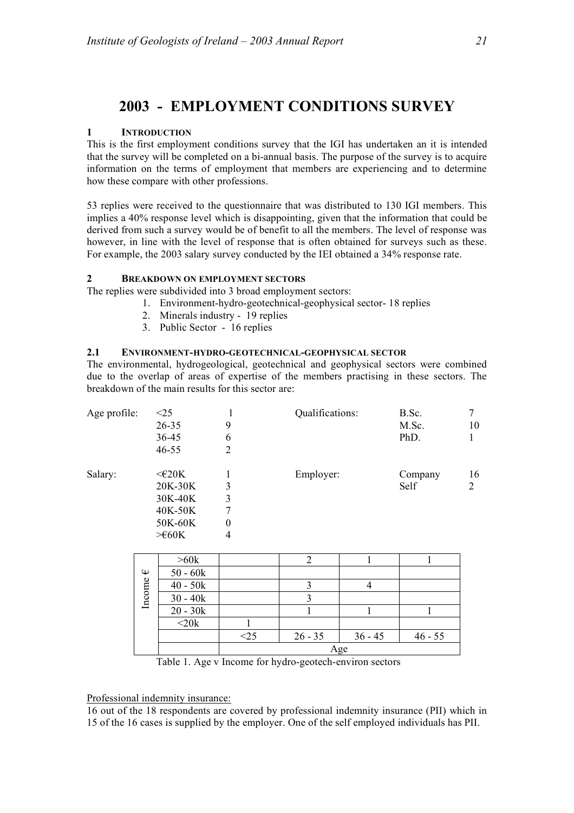## **2003 - EMPLOYMENT CONDITIONS SURVEY**

### **1 INTRODUCTION**

This is the first employment conditions survey that the IGI has undertaken an it is intended that the survey will be completed on a bi-annual basis. The purpose of the survey is to acquire information on the terms of employment that members are experiencing and to determine how these compare with other professions.

53 replies were received to the questionnaire that was distributed to 130 IGI members. This implies a 40% response level which is disappointing, given that the information that could be derived from such a survey would be of benefit to all the members. The level of response was however, in line with the level of response that is often obtained for surveys such as these. For example, the 2003 salary survey conducted by the IEI obtained a 34% response rate.

### **2 BREAKDOWN ON EMPLOYMENT SECTORS**

The replies were subdivided into 3 broad employment sectors:

- 1. Environment-hydro-geotechnical-geophysical sector- 18 replies
- 2. Minerals industry 19 replies
- 3. Public Sector 16 replies

### **2.1 ENVIRONMENT-HYDRO-GEOTECHNICAL-GEOPHYSICAL SECTOR**

The environmental, hydrogeological, geotechnical and geophysical sectors were combined due to the overlap of areas of expertise of the members practising in these sectors. The breakdown of the main results for this sector are:

| Age profile: | $\leq$ 25            |          | Qualifications: | B.Sc.   | 7  |
|--------------|----------------------|----------|-----------------|---------|----|
|              | $26 - 35$            | 9        |                 | M.Sc.   | 10 |
|              | 36-45                | 6        |                 | PhD.    |    |
|              | $46 - 55$            | 2        |                 |         |    |
| Salary:      | $\leq$ $E$ 20K       |          | Employer:       | Company | 16 |
|              | 20K-30K              | 3        |                 | Self    | 2  |
|              | 30K-40K              | 3        |                 |         |    |
|              | 40K-50K              | 7        |                 |         |    |
|              | 50K-60K              | $\theta$ |                 |         |    |
|              | $> \in 60K$          | 4        |                 |         |    |
|              | $\sim$ $\sim$ $\sim$ |          | $\sim$          |         |    |

|                  | >60k                                      |                          |                        |           |           |  |
|------------------|-------------------------------------------|--------------------------|------------------------|-----------|-----------|--|
| $\mathbb \omega$ | $50 - 60k$                                |                          |                        |           |           |  |
| Income           | $40 - 50k$                                |                          |                        |           |           |  |
|                  | $30 - 40k$                                |                          |                        |           |           |  |
|                  | $\overline{20} - 30k$                     |                          |                        |           |           |  |
|                  | $<$ 20 $k$                                |                          |                        |           |           |  |
|                  |                                           |                          | $26 - 35$              | $36 - 45$ | $46 - 55$ |  |
|                  |                                           | Age                      |                        |           |           |  |
|                  | 77.11<br>$\blacksquare$<br>$\overline{a}$ | $\sim$ 1<br>$\mathbf{r}$ | $\mathbf{1}$<br>$\sim$ | $\sim$    |           |  |

Table 1. Age v Income for hydro-geotech-environ sectors

Professional indemnity insurance:

16 out of the 18 respondents are covered by professional indemnity insurance (PII) which in 15 of the 16 cases is supplied by the employer. One of the self employed individuals has PII.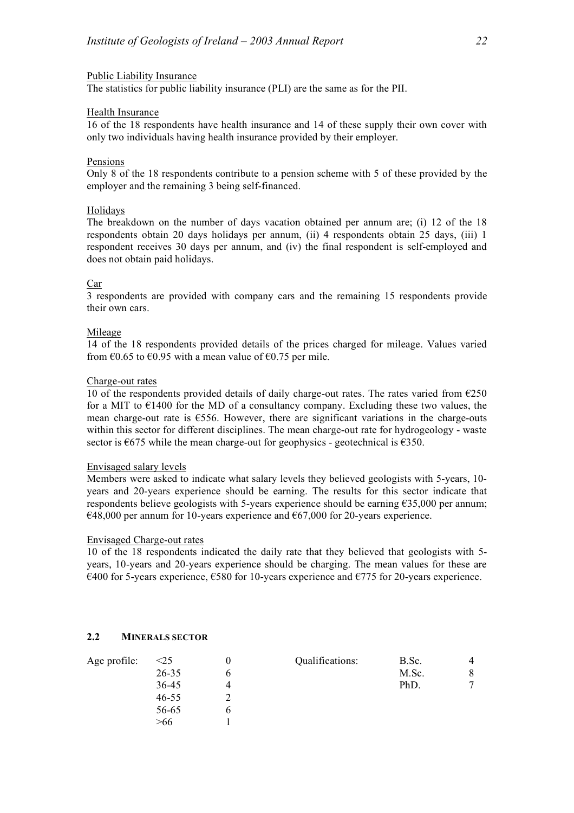### Public Liability Insurance

The statistics for public liability insurance (PLI) are the same as for the PII.

### Health Insurance

16 of the 18 respondents have health insurance and 14 of these supply their own cover with only two individuals having health insurance provided by their employer.

### Pensions

Only 8 of the 18 respondents contribute to a pension scheme with 5 of these provided by the employer and the remaining 3 being self-financed.

### Holidays

The breakdown on the number of days vacation obtained per annum are; (i) 12 of the 18 respondents obtain 20 days holidays per annum, (ii) 4 respondents obtain 25 days, (iii) 1 respondent receives 30 days per annum, and (iv) the final respondent is self-employed and does not obtain paid holidays.

### Car

3 respondents are provided with company cars and the remaining 15 respondents provide their own cars.

### Mileage

14 of the 18 respondents provided details of the prices charged for mileage. Values varied from  $\epsilon$ 0.65 to  $\epsilon$ 0.95 with a mean value of  $\epsilon$ 0.75 per mile.

#### Charge-out rates

10 of the respondents provided details of daily charge-out rates. The rates varied from  $\epsilon$ 250 for a MIT to  $E$ 1400 for the MD of a consultancy company. Excluding these two values, the mean charge-out rate is €556. However, there are significant variations in the charge-outs within this sector for different disciplines. The mean charge-out rate for hydrogeology - waste sector is  $\epsilon$ 675 while the mean charge-out for geophysics - geotechnical is  $\epsilon$ 350.

### Envisaged salary levels

Members were asked to indicate what salary levels they believed geologists with 5-years, 10 years and 20-years experience should be earning. The results for this sector indicate that respondents believe geologists with 5-years experience should be earning €35,000 per annum;  $€48,000$  per annum for 10-years experience and  $€67,000$  for 20-years experience.

### Envisaged Charge-out rates

10 of the 18 respondents indicated the daily rate that they believed that geologists with 5 years, 10-years and 20-years experience should be charging. The mean values for these are  $\epsilon$ 400 for 5-years experience,  $\epsilon$ 580 for 10-years experience and  $\epsilon$ 775 for 20-years experience.

### **2.2 MINERALS SECTOR**

| Age profile: | $<$ 25    | Qualifications: | B.Sc. |              |
|--------------|-----------|-----------------|-------|--------------|
|              | 26-35     |                 | M.Sc. | 8            |
|              | 36-45     |                 | PhD.  | $\mathbf{r}$ |
|              | $46 - 55$ |                 |       |              |
|              | 56-65     |                 |       |              |
|              | >66       |                 |       |              |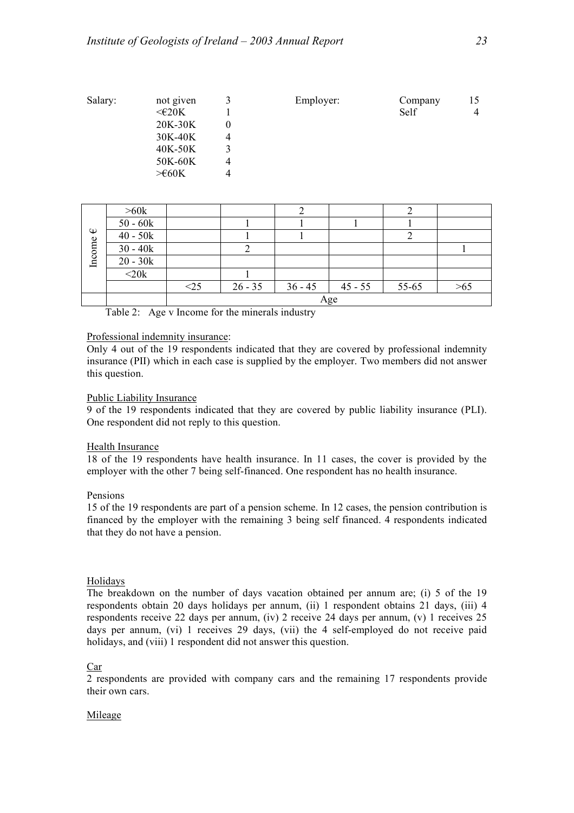| Salary: | not given      |   | Employer: | Company | 15 |
|---------|----------------|---|-----------|---------|----|
|         | $\leq$ $E$ 20K |   |           | Self    | 4  |
|         | 20K-30K        |   |           |         |    |
|         | 30K-40K        | 4 |           |         |    |
|         | 40K-50K        |   |           |         |    |
|         | 50K-60K        | 4 |           |         |    |
|         | $> \in 60K$    | 4 |           |         |    |

|                  | >60k             |              |           |           |           |       |     |
|------------------|------------------|--------------|-----------|-----------|-----------|-------|-----|
|                  | $50 - 60k$       |              |           |           |           |       |     |
| $\mathbb \omega$ | $40 - 50k$       |              |           |           |           |       |     |
|                  | $30 - 40k$       |              |           |           |           |       |     |
| Income           | $20 - 30k$       |              |           |           |           |       |     |
|                  | $\overline{20k}$ |              |           |           |           |       |     |
|                  |                  | $< \! \! 25$ | $26 - 35$ | $36 - 45$ | $45 - 55$ | 55-65 | -65 |
|                  |                  |              |           |           | Age       |       |     |

Table 2: Age v Income for the minerals industry

### Professional indemnity insurance:

Only 4 out of the 19 respondents indicated that they are covered by professional indemnity insurance (PII) which in each case is supplied by the employer. Two members did not answer this question.

### Public Liability Insurance

9 of the 19 respondents indicated that they are covered by public liability insurance (PLI). One respondent did not reply to this question.

### Health Insurance

18 of the 19 respondents have health insurance. In 11 cases, the cover is provided by the employer with the other 7 being self-financed. One respondent has no health insurance.

### Pensions

15 of the 19 respondents are part of a pension scheme. In 12 cases, the pension contribution is financed by the employer with the remaining 3 being self financed. 4 respondents indicated that they do not have a pension.

### Holidays

The breakdown on the number of days vacation obtained per annum are; (i) 5 of the 19 respondents obtain 20 days holidays per annum, (ii) 1 respondent obtains 21 days, (iii) 4 respondents receive 22 days per annum, (iv) 2 receive 24 days per annum, (v) 1 receives 25 days per annum, (vi) 1 receives 29 days, (vii) the 4 self-employed do not receive paid holidays, and (viii) 1 respondent did not answer this question.

### Car

2 respondents are provided with company cars and the remaining 17 respondents provide their own cars.

### Mileage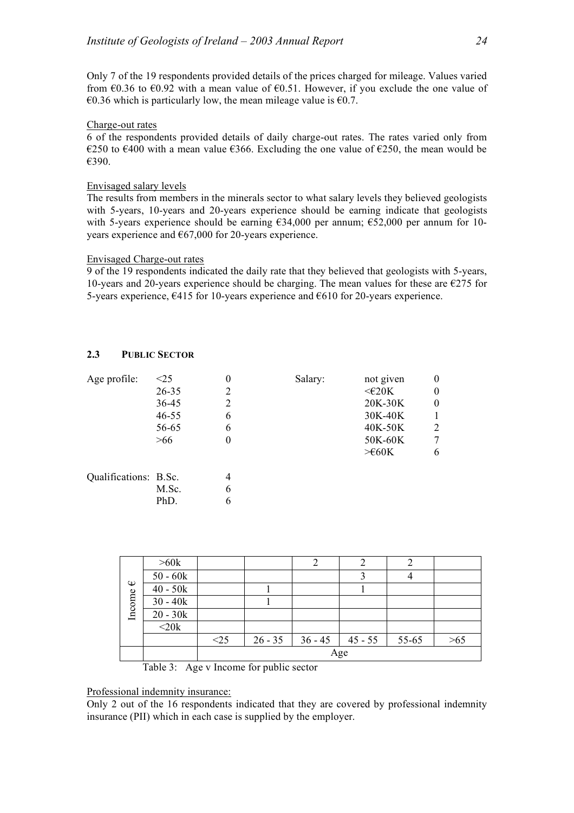Only 7 of the 19 respondents provided details of the prices charged for mileage. Values varied from  $60.36$  to  $60.92$  with a mean value of  $60.51$ . However, if you exclude the one value of €0.36 which is particularly low, the mean mileage value is  $€0.7$ .

### Charge-out rates

6 of the respondents provided details of daily charge-out rates. The rates varied only from €250 to €400 with a mean value  $€366$ . Excluding the one value of  $€250$ , the mean would be €390.

### Envisaged salary levels

The results from members in the minerals sector to what salary levels they believed geologists with 5-years, 10-years and 20-years experience should be earning indicate that geologists with 5-years experience should be earning €34,000 per annum; €52,000 per annum for 10 years experience and  $\epsilon$ 67,000 for 20-years experience.

### Envisaged Charge-out rates

9 of the 19 respondents indicated the daily rate that they believed that geologists with 5-years, 10-years and 20-years experience should be charging. The mean values for these are  $\epsilon$ 275 for 5-years experience,  $\epsilon$ 415 for 10-years experience and  $\epsilon$ 610 for 20-years experience.

### **2.3 PUBLIC SECTOR**

| Age profile:          | $\leq$ 25 | $\theta$       | Salary: | not given      | 0 |
|-----------------------|-----------|----------------|---------|----------------|---|
|                       | $26 - 35$ | 2              |         | $\leq$ $E$ 20K | 0 |
|                       | 36-45     | $\overline{2}$ |         | 20K-30K        | 0 |
|                       | 46-55     | 6              |         | 30K-40K        |   |
|                       | 56-65     | 6              |         | 40K-50K        | 2 |
|                       | >66       |                |         | 50K-60K        | 7 |
|                       |           |                |         | $\geq 60K$     | 6 |
| Qualifications: B.Sc. |           | 4              |         |                |   |
|                       | M.Sc.     | 6              |         |                |   |
|                       | PhD.      | 6              |         |                |   |

|        | >60k       |     |           |           |           |       |             |
|--------|------------|-----|-----------|-----------|-----------|-------|-------------|
|        | $50 - 60k$ |     |           |           |           |       |             |
| ⊕      | $40 - 50k$ |     |           |           |           |       |             |
| Income | $30 - 40k$ |     |           |           |           |       |             |
|        | $20 - 30k$ |     |           |           |           |       |             |
|        | $<$ 20 $k$ |     |           |           |           |       |             |
|        |            | <25 | $26 - 35$ | $36 - 45$ | $45 - 55$ | 55-65 | $> \!\! 65$ |
|        | Age        |     |           |           |           |       |             |

Table 3: Age v Income for public sector

Professional indemnity insurance:

Only 2 out of the 16 respondents indicated that they are covered by professional indemnity insurance (PII) which in each case is supplied by the employer.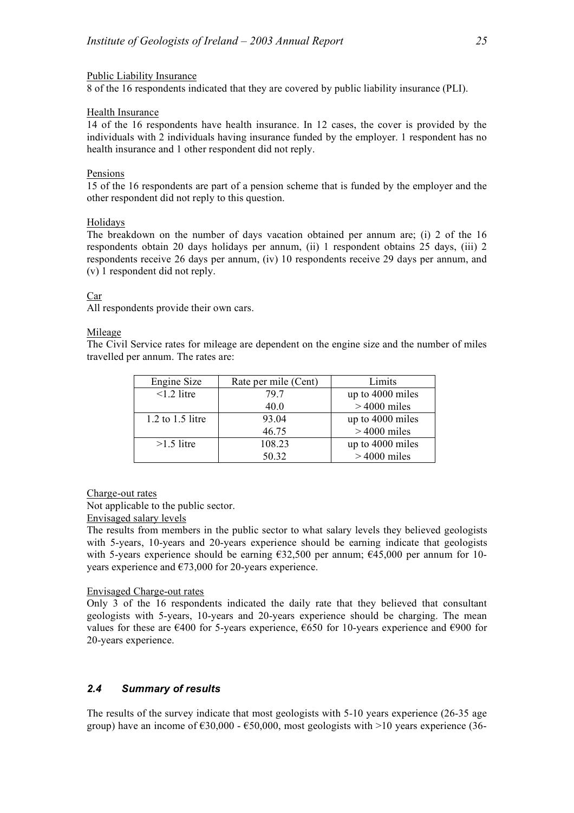### Public Liability Insurance

8 of the 16 respondents indicated that they are covered by public liability insurance (PLI).

### Health Insurance

14 of the 16 respondents have health insurance. In 12 cases, the cover is provided by the individuals with 2 individuals having insurance funded by the employer. 1 respondent has no health insurance and 1 other respondent did not reply.

### Pensions

15 of the 16 respondents are part of a pension scheme that is funded by the employer and the other respondent did not reply to this question.

### Holidays

The breakdown on the number of days vacation obtained per annum are; (i) 2 of the 16 respondents obtain 20 days holidays per annum, (ii) 1 respondent obtains 25 days, (iii) 2 respondents receive 26 days per annum, (iv) 10 respondents receive 29 days per annum, and (v) 1 respondent did not reply.

### Car

All respondents provide their own cars.

### Mileage

The Civil Service rates for mileage are dependent on the engine size and the number of miles travelled per annum. The rates are:

| Engine Size          | Rate per mile (Cent) | Limits           |
|----------------------|----------------------|------------------|
| $\leq$ 1.2 litre     | 79 7                 | up to 4000 miles |
|                      | 40.0                 | $>4000$ miles    |
| $1.2$ to $1.5$ litre | 93.04                | up to 4000 miles |
|                      | 46.75                | $>4000$ miles    |
| $>1.5$ litre         | 108.23               | up to 4000 miles |
|                      | 50.32                | $>4000$ miles    |

### Charge-out rates

Not applicable to the public sector.

Envisaged salary levels

The results from members in the public sector to what salary levels they believed geologists with 5-years, 10-years and 20-years experience should be earning indicate that geologists with 5-years experience should be earning €32,500 per annum; €45,000 per annum for 10 years experience and  $\epsilon$ 73,000 for 20-years experience.

### Envisaged Charge-out rates

Only 3 of the 16 respondents indicated the daily rate that they believed that consultant geologists with 5-years, 10-years and 20-years experience should be charging. The mean values for these are  $\epsilon$ 400 for 5-years experience,  $\epsilon$ 650 for 10-years experience and  $\epsilon$ 900 for 20-years experience.

### *2.4 Summary of results*

The results of the survey indicate that most geologists with 5-10 years experience (26-35 age group) have an income of  $\epsilon$ 30,000 -  $\epsilon$ 50,000, most geologists with  $>10$  years experience (36-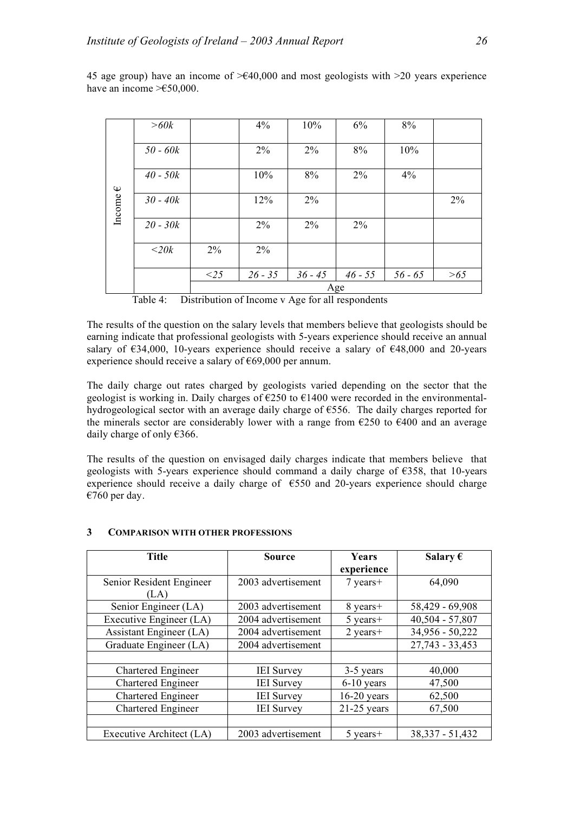|             | >60k       |        | 4%        | 10%       | $6\%$     | 8%        |       |
|-------------|------------|--------|-----------|-----------|-----------|-----------|-------|
|             | $50 - 60k$ |        | 2%        | 2%        | 8%        | 10%       |       |
| $\mathbb Q$ | $40 - 50k$ |        | 10%       | 8%        | 2%        | 4%        |       |
| Income      | $30 - 40k$ |        | 12%       | $2\%$     |           |           | 2%    |
|             | $20 - 30k$ |        | 2%        | $2\%$     | 2%        |           |       |
|             | $<$ 20 $k$ | 2%     | 2%        |           |           |           |       |
|             |            | $<$ 25 | $26 - 35$ | $36 - 45$ | $46 - 55$ | $56 - 65$ | $>65$ |
|             | Age        |        |           |           |           |           |       |

45 age group) have an income of  $\geq 40,000$  and most geologists with  $\geq 20$  years experience have an income  $\geq \text{\textsterling}50,000$ .

| Distribution of Income v Age for all respondents | Table 4: |  |  |  |  |
|--------------------------------------------------|----------|--|--|--|--|
|--------------------------------------------------|----------|--|--|--|--|

The results of the question on the salary levels that members believe that geologists should be earning indicate that professional geologists with 5-years experience should receive an annual salary of  $634,000$ , 10-years experience should receive a salary of  $648,000$  and 20-years experience should receive a salary of €69,000 per annum.

The daily charge out rates charged by geologists varied depending on the sector that the geologist is working in. Daily charges of  $\epsilon$ 250 to  $\epsilon$ 1400 were recorded in the environmentalhydrogeological sector with an average daily charge of €556. The daily charges reported for the minerals sector are considerably lower with a range from  $\epsilon$ 250 to  $\epsilon$ 400 and an average daily charge of only €366.

The results of the question on envisaged daily charges indicate that members believe that geologists with 5-years experience should command a daily charge of  $\epsilon$ 358, that 10-years experience should receive a daily charge of  $\epsilon$ 550 and 20-years experience should charge €760 per day.

| <b>Title</b>              | <b>Source</b>      | <b>Years</b>  | Salary $\epsilon$ |
|---------------------------|--------------------|---------------|-------------------|
|                           |                    | experience    |                   |
| Senior Resident Engineer  | 2003 advertisement | $7$ years+    | 64,090            |
| (LA)                      |                    |               |                   |
| Senior Engineer (LA)      | 2003 advertisement | 8 years+      | 58,429 - 69,908   |
| Executive Engineer (LA)   | 2004 advertisement | $5$ years+    | 40,504 - 57,807   |
| Assistant Engineer (LA)   | 2004 advertisement | $2$ years+    | 34,956 - 50,222   |
| Graduate Engineer (LA)    | 2004 advertisement |               | 27,743 - 33,453   |
|                           |                    |               |                   |
| Chartered Engineer        | <b>IEI</b> Survey  | 3-5 years     | 40,000            |
| Chartered Engineer        | <b>IEI</b> Survey  | $6-10$ years  | 47,500            |
| Chartered Engineer        | <b>IEI</b> Survey  | $16-20$ years | 62,500            |
| <b>Chartered Engineer</b> | <b>IEI</b> Survey  | $21-25$ years | 67,500            |
|                           |                    |               |                   |
| Executive Architect (LA)  | 2003 advertisement | $5$ years +   | 38, 337 - 51, 432 |

### **3 COMPARISON WITH OTHER PROFESSIONS**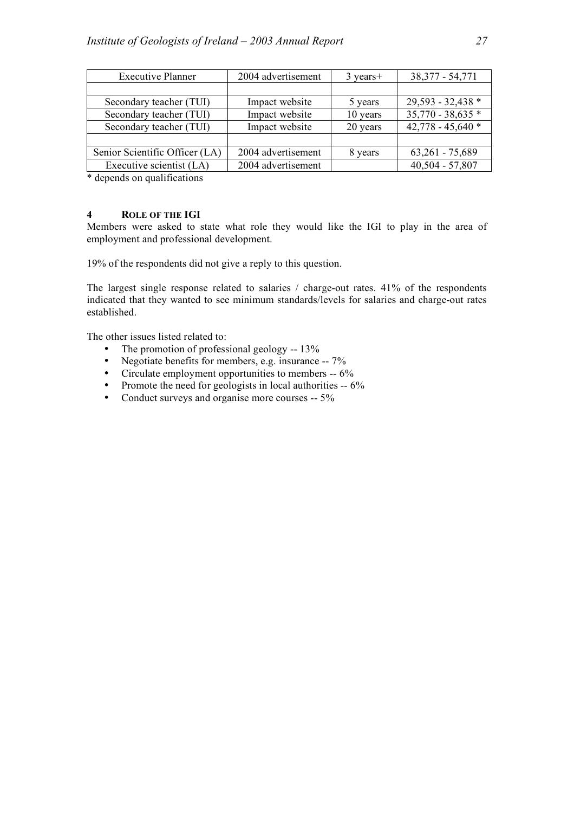| <b>Executive Planner</b>       | 2004 advertisement | $3 \text{ years}+$ | 38, 377 - 54, 771   |
|--------------------------------|--------------------|--------------------|---------------------|
|                                |                    |                    |                     |
| Secondary teacher (TUI)        | Impact website     | 5 years            | 29,593 - 32,438 *   |
| Secondary teacher (TUI)        | Impact website     | 10 years           | $35,770 - 38,635*$  |
| Secondary teacher (TUI)        | Impact website     | 20 years           | 42,778 - 45,640 $*$ |
|                                |                    |                    |                     |
| Senior Scientific Officer (LA) | 2004 advertisement | 8 years            | $63,261 - 75,689$   |
| Executive scientist (LA)       | 2004 advertisement |                    | 40,504 - 57,807     |

\* depends on qualifications

### **4 ROLE OF THE IGI**

Members were asked to state what role they would like the IGI to play in the area of employment and professional development.

19% of the respondents did not give a reply to this question.

The largest single response related to salaries / charge-out rates. 41% of the respondents indicated that they wanted to see minimum standards/levels for salaries and charge-out rates established.

The other issues listed related to:

- The promotion of professional geology -- 13%
- Negotiate benefits for members, e.g. insurance -- 7%
- Circulate employment opportunities to members -- 6%
- Promote the need for geologists in local authorities -- 6%
- Conduct surveys and organise more courses -- 5%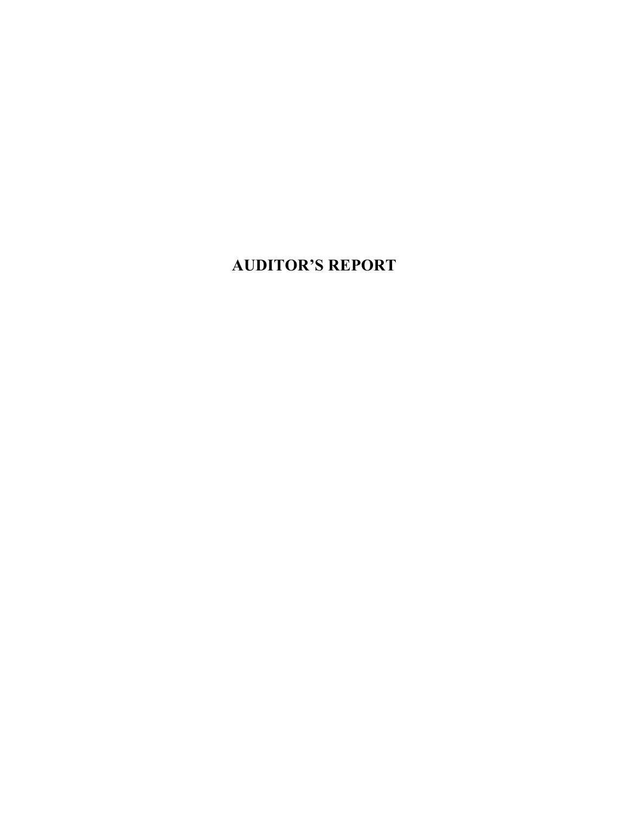## **AUDITOR'S REPORT**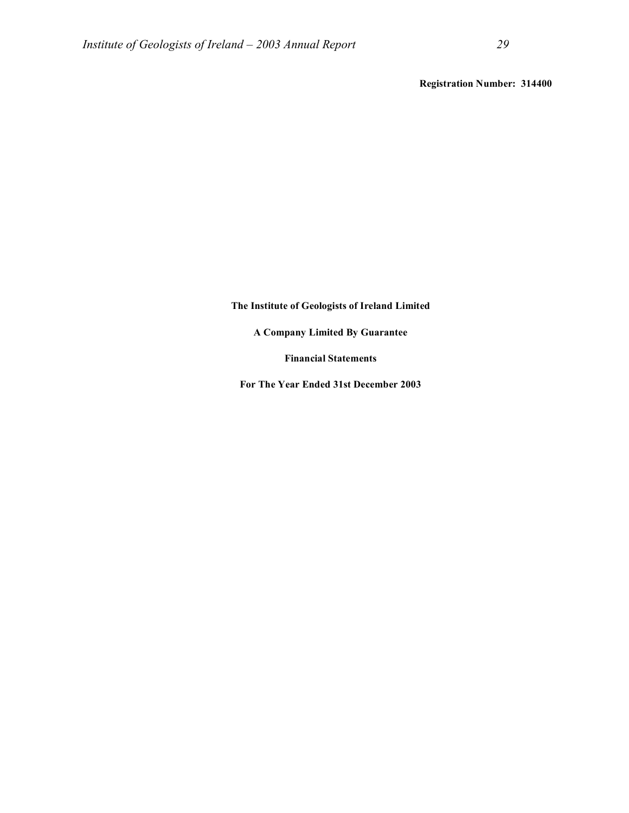**Registration Number: 314400**

### **The Institute of Geologists of Ireland Limited**

**A Company Limited By Guarantee**

**Financial Statements**

**For The Year Ended 31st December 2003**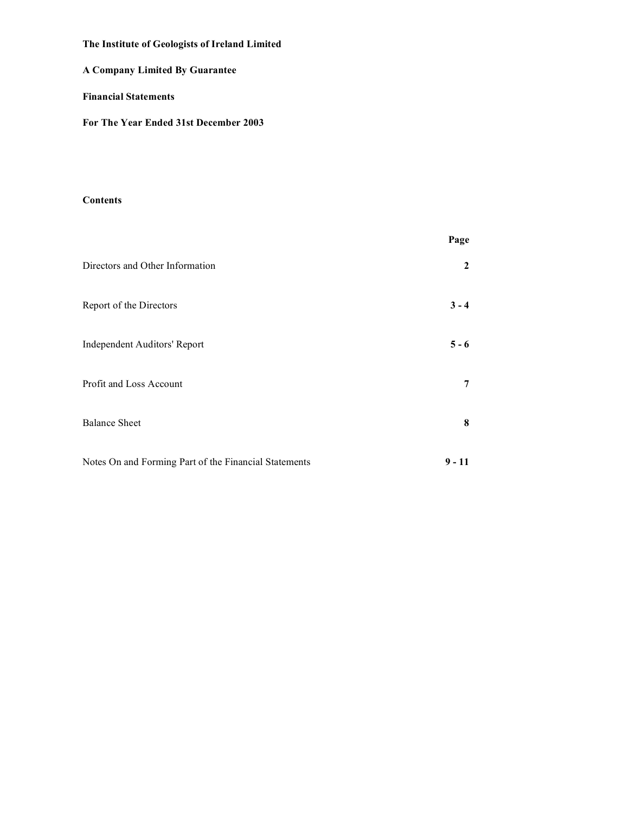## **A Company Limited By Guarantee**

### **Financial Statements**

**For The Year Ended 31st December 2003**

### **Contents**

|                                                       | Page         |
|-------------------------------------------------------|--------------|
| Directors and Other Information                       | $\mathbf{2}$ |
| Report of the Directors                               | $3 - 4$      |
| <b>Independent Auditors' Report</b>                   | $5 - 6$      |
| Profit and Loss Account                               | 7            |
| <b>Balance Sheet</b>                                  | 8            |
| Notes On and Forming Part of the Financial Statements | $9 - 11$     |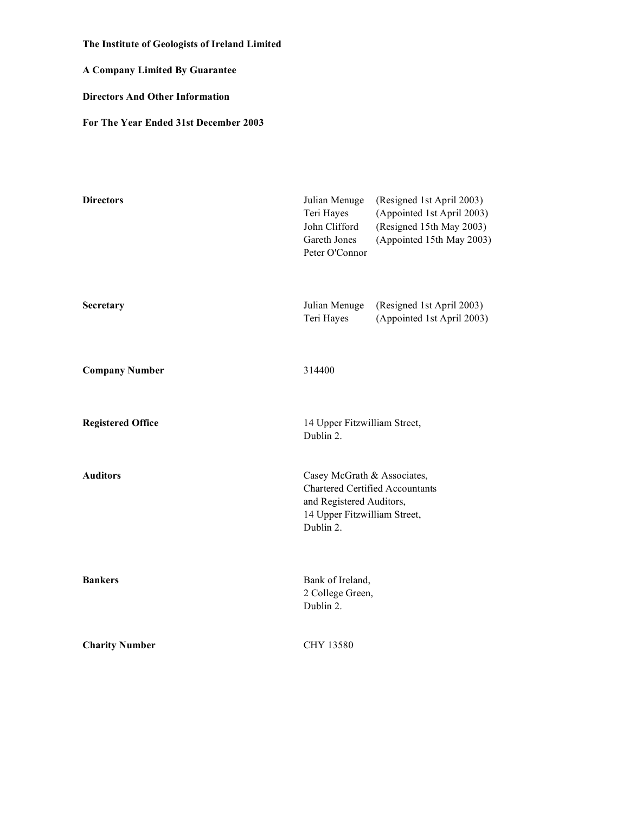**A Company Limited By Guarantee**

**Directors And Other Information**

**For The Year Ended 31st December 2003**

| <b>Directors</b>         | Julian Menuge<br>Teri Hayes<br>John Clifford<br>Gareth Jones<br>Peter O'Connor                                                                 | (Resigned 1st April 2003)<br>(Appointed 1st April 2003)<br>(Resigned 15th May 2003)<br>(Appointed 15th May 2003) |
|--------------------------|------------------------------------------------------------------------------------------------------------------------------------------------|------------------------------------------------------------------------------------------------------------------|
| Secretary                | Julian Menuge<br>Teri Hayes                                                                                                                    | (Resigned 1st April 2003)<br>(Appointed 1st April 2003)                                                          |
| <b>Company Number</b>    | 314400                                                                                                                                         |                                                                                                                  |
| <b>Registered Office</b> | 14 Upper Fitzwilliam Street,<br>Dublin 2.                                                                                                      |                                                                                                                  |
| <b>Auditors</b>          | Casey McGrath & Associates,<br><b>Chartered Certified Accountants</b><br>and Registered Auditors,<br>14 Upper Fitzwilliam Street,<br>Dublin 2. |                                                                                                                  |
| <b>Bankers</b>           | Bank of Ireland,<br>2 College Green,<br>Dublin 2.                                                                                              |                                                                                                                  |
| <b>Charity Number</b>    | CHY 13580                                                                                                                                      |                                                                                                                  |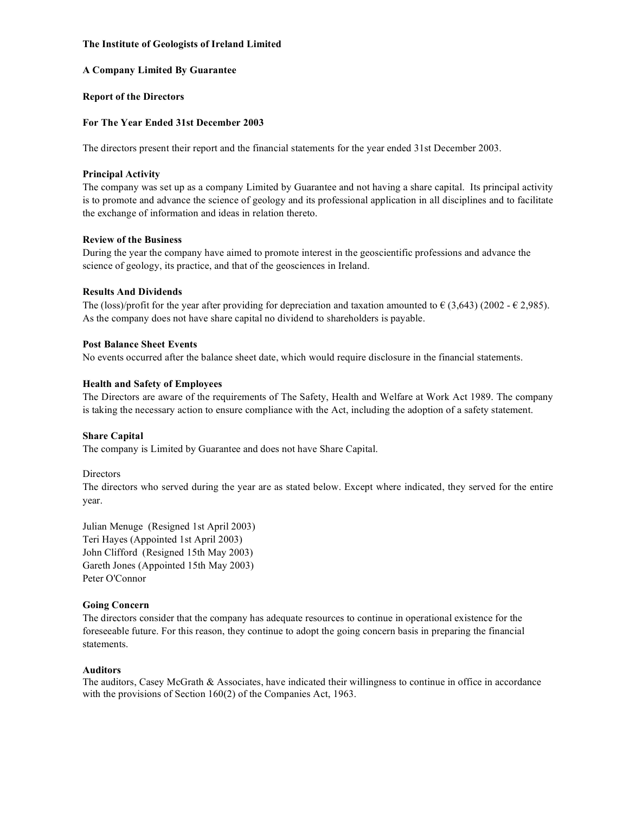### **A Company Limited By Guarantee**

### **Report of the Directors**

### **For The Year Ended 31st December 2003**

The directors present their report and the financial statements for the year ended 31st December 2003.

### **Principal Activity**

The company was set up as a company Limited by Guarantee and not having a share capital. Its principal activity is to promote and advance the science of geology and its professional application in all disciplines and to facilitate the exchange of information and ideas in relation thereto.

### **Review of the Business**

During the year the company have aimed to promote interest in the geoscientific professions and advance the science of geology, its practice, and that of the geosciences in Ireland.

### **Results And Dividends**

The (loss)/profit for the year after providing for depreciation and taxation amounted to  $\epsilon$  (3,643) (2002 -  $\epsilon$  2,985). As the company does not have share capital no dividend to shareholders is payable.

### **Post Balance Sheet Events**

No events occurred after the balance sheet date, which would require disclosure in the financial statements.

### **Health and Safety of Employees**

The Directors are aware of the requirements of The Safety, Health and Welfare at Work Act 1989. The company is taking the necessary action to ensure compliance with the Act, including the adoption of a safety statement.

### **Share Capital**

The company is Limited by Guarantee and does not have Share Capital.

### **Directors**

The directors who served during the year are as stated below. Except where indicated, they served for the entire year.

Julian Menuge (Resigned 1st April 2003) Teri Hayes (Appointed 1st April 2003) John Clifford (Resigned 15th May 2003) Gareth Jones (Appointed 15th May 2003) Peter O'Connor

### **Going Concern**

The directors consider that the company has adequate resources to continue in operational existence for the foreseeable future. For this reason, they continue to adopt the going concern basis in preparing the financial statements.

### **Auditors**

The auditors, Casey McGrath & Associates, have indicated their willingness to continue in office in accordance with the provisions of Section 160(2) of the Companies Act, 1963.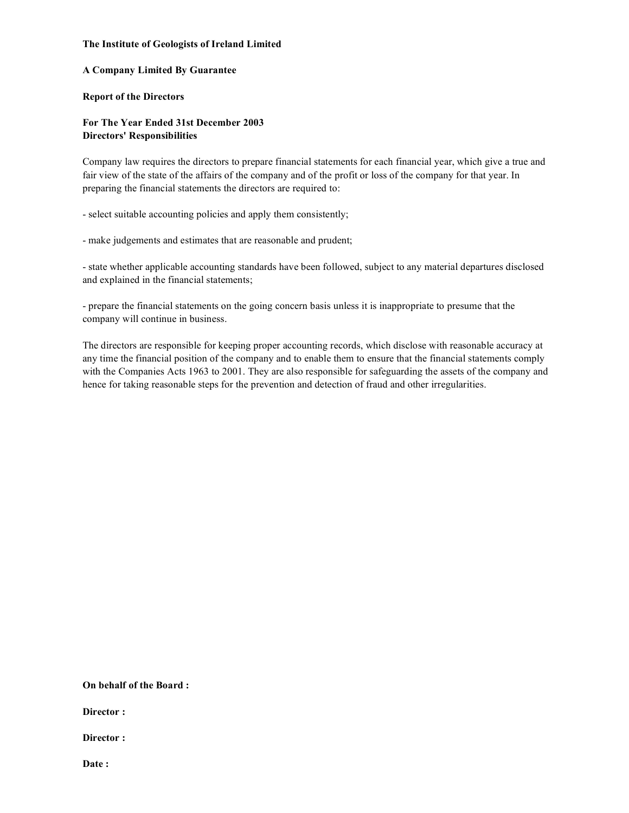### **A Company Limited By Guarantee**

### **Report of the Directors**

### **For The Year Ended 31st December 2003 Directors' Responsibilities**

Company law requires the directors to prepare financial statements for each financial year, which give a true and fair view of the state of the affairs of the company and of the profit or loss of the company for that year. In preparing the financial statements the directors are required to:

- select suitable accounting policies and apply them consistently;

- make judgements and estimates that are reasonable and prudent;

- state whether applicable accounting standards have been followed, subject to any material departures disclosed and explained in the financial statements;

- prepare the financial statements on the going concern basis unless it is inappropriate to presume that the company will continue in business.

The directors are responsible for keeping proper accounting records, which disclose with reasonable accuracy at any time the financial position of the company and to enable them to ensure that the financial statements comply with the Companies Acts 1963 to 2001. They are also responsible for safeguarding the assets of the company and hence for taking reasonable steps for the prevention and detection of fraud and other irregularities.

**On behalf of the Board :**

**Director :**

**Director :**

**Date :**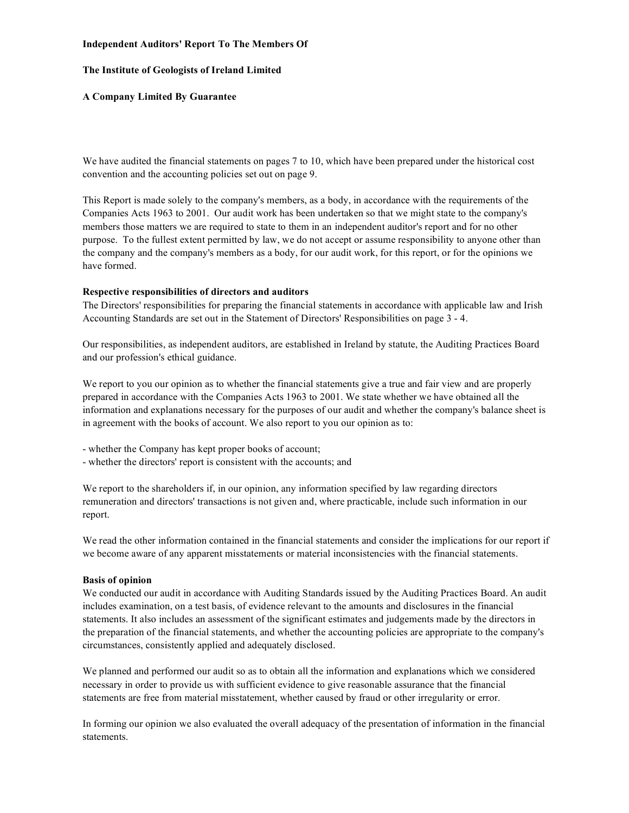### **Independent Auditors' Report To The Members Of**

### **The Institute of Geologists of Ireland Limited**

### **A Company Limited By Guarantee**

We have audited the financial statements on pages 7 to 10, which have been prepared under the historical cost convention and the accounting policies set out on page 9.

This Report is made solely to the company's members, as a body, in accordance with the requirements of the Companies Acts 1963 to 2001. Our audit work has been undertaken so that we might state to the company's members those matters we are required to state to them in an independent auditor's report and for no other purpose. To the fullest extent permitted by law, we do not accept or assume responsibility to anyone other than the company and the company's members as a body, for our audit work, for this report, or for the opinions we have formed.

### **Respective responsibilities of directors and auditors**

The Directors' responsibilities for preparing the financial statements in accordance with applicable law and Irish Accounting Standards are set out in the Statement of Directors' Responsibilities on page 3 - 4.

Our responsibilities, as independent auditors, are established in Ireland by statute, the Auditing Practices Board and our profession's ethical guidance.

We report to you our opinion as to whether the financial statements give a true and fair view and are properly prepared in accordance with the Companies Acts 1963 to 2001. We state whether we have obtained all the information and explanations necessary for the purposes of our audit and whether the company's balance sheet is in agreement with the books of account. We also report to you our opinion as to:

- whether the Company has kept proper books of account;
- whether the directors' report is consistent with the accounts; and

We report to the shareholders if, in our opinion, any information specified by law regarding directors remuneration and directors' transactions is not given and, where practicable, include such information in our report.

We read the other information contained in the financial statements and consider the implications for our report if we become aware of any apparent misstatements or material inconsistencies with the financial statements.

### **Basis of opinion**

We conducted our audit in accordance with Auditing Standards issued by the Auditing Practices Board. An audit includes examination, on a test basis, of evidence relevant to the amounts and disclosures in the financial statements. It also includes an assessment of the significant estimates and judgements made by the directors in the preparation of the financial statements, and whether the accounting policies are appropriate to the company's circumstances, consistently applied and adequately disclosed.

We planned and performed our audit so as to obtain all the information and explanations which we considered necessary in order to provide us with sufficient evidence to give reasonable assurance that the financial statements are free from material misstatement, whether caused by fraud or other irregularity or error.

In forming our opinion we also evaluated the overall adequacy of the presentation of information in the financial statements.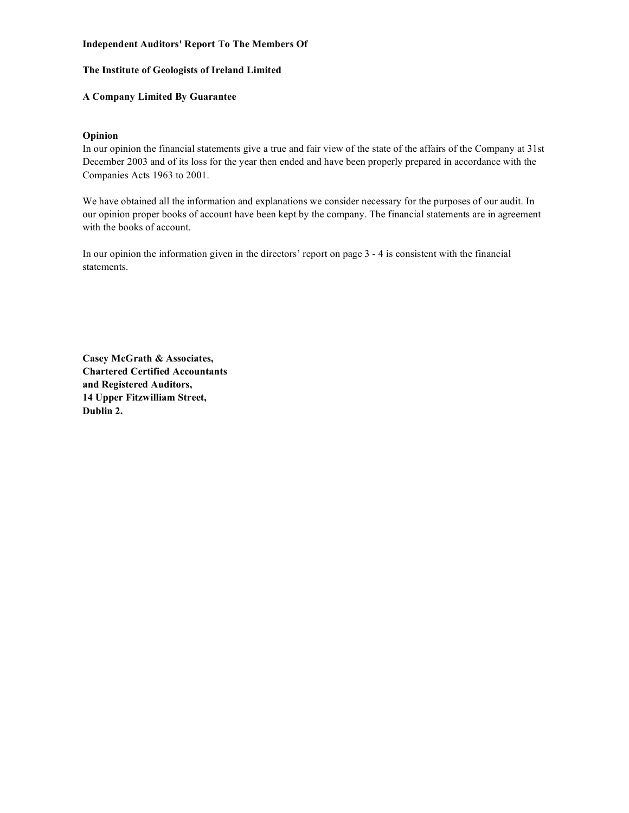### **Independent Auditors' Report To The Members Of**

### **The Institute of Geologists of Ireland Limited**

### **A Company Limited By Guarantee**

### **Opinion**

In our opinion the financial statements give a true and fair view of the state of the affairs of the Company at 31st December 2003 and of its loss for the year then ended and have been properly prepared in accordance with the Companies Acts 1963 to 2001.

We have obtained all the information and explanations we consider necessary for the purposes of our audit. In our opinion proper books of account have been kept by the company. The financial statements are in agreement with the books of account.

In our opinion the information given in the directors' report on page 3 - 4 is consistent with the financial statements.

**Casey McGrath & Associates, Chartered Certified Accountants and Registered Auditors, 14 Upper Fitzwilliam Street, Dublin 2.**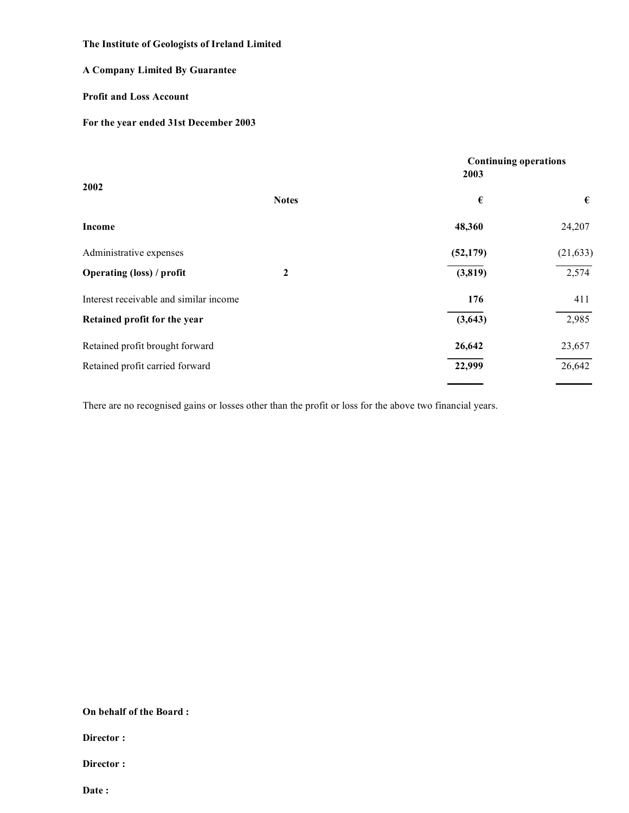## **A Company Limited By Guarantee**

### **Profit and Loss Account**

### **For the year ended 31st December 2003**

| <b>Continuing operations</b><br>2003 |           |
|--------------------------------------|-----------|
| €                                    | €         |
| 48,360                               | 24,207    |
| (52, 179)                            | (21, 633) |
| (3,819)                              | 2,574     |
| 176                                  | 411       |
| (3,643)                              | 2,985     |
| 26,642                               | 23,657    |
| 22,999                               | 26,642    |
|                                      |           |

There are no recognised gains or losses other than the profit or loss for the above two financial years.

**On behalf of the Board :**

**Director :**

**Director :**

**Date :**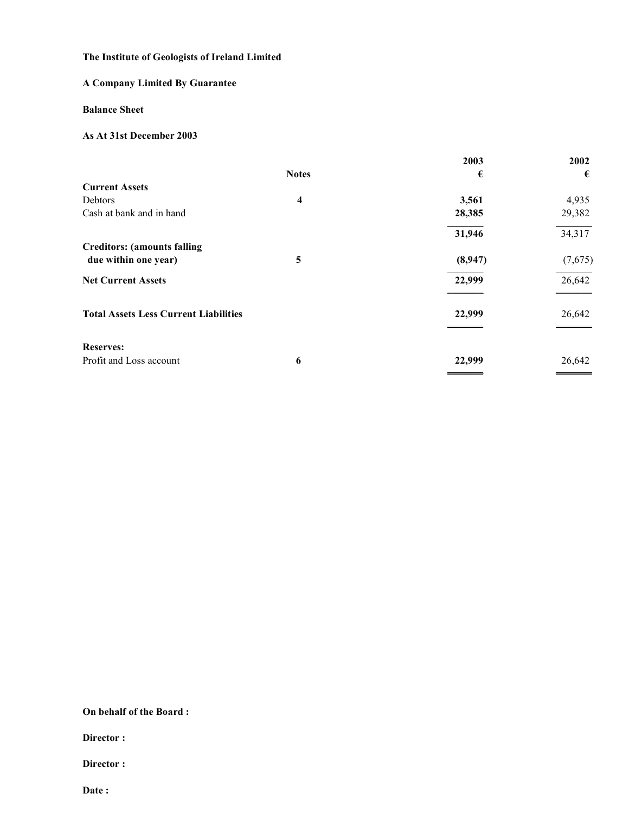## **A Company Limited By Guarantee**

### **Balance Sheet**

### **As At 31st December 2003**

|                                              |              | 2003    | 2002    |
|----------------------------------------------|--------------|---------|---------|
|                                              | <b>Notes</b> | €       | €       |
| <b>Current Assets</b>                        |              |         |         |
| Debtors                                      | 4            | 3,561   | 4,935   |
| Cash at bank and in hand                     |              | 28,385  | 29,382  |
|                                              |              | 31,946  | 34,317  |
| <b>Creditors: (amounts falling</b>           |              |         |         |
| due within one year)                         | 5            | (8,947) | (7,675) |
| <b>Net Current Assets</b>                    |              | 22,999  | 26,642  |
| <b>Total Assets Less Current Liabilities</b> |              | 22,999  | 26,642  |
| <b>Reserves:</b>                             |              |         |         |
| Profit and Loss account                      | 6            | 22,999  | 26,642  |
|                                              |              |         |         |

**On behalf of the Board :**

**Director :**

**Director :**

**Date :**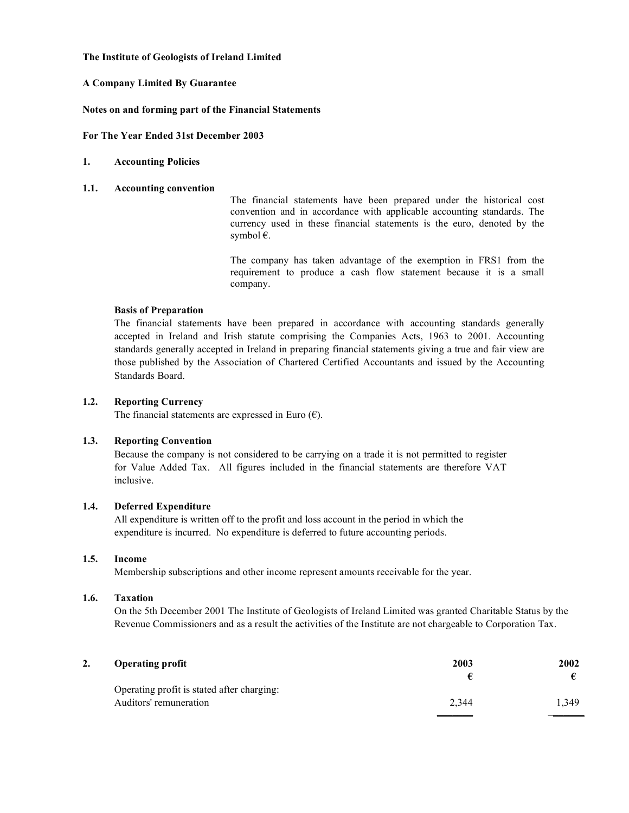### **A Company Limited By Guarantee**

### **Notes on and forming part of the Financial Statements**

**For The Year Ended 31st December 2003**

### **1. Accounting Policies**

### **1.1. Accounting convention**

The financial statements have been prepared under the historical cost convention and in accordance with applicable accounting standards. The currency used in these financial statements is the euro, denoted by the symbol €.

The company has taken advantage of the exemption in FRS1 from the requirement to produce a cash flow statement because it is a small company.

### **Basis of Preparation**

The financial statements have been prepared in accordance with accounting standards generally accepted in Ireland and Irish statute comprising the Companies Acts, 1963 to 2001. Accounting standards generally accepted in Ireland in preparing financial statements giving a true and fair view are those published by the Association of Chartered Certified Accountants and issued by the Accounting Standards Board.

### **1.2. Reporting Currency**

The financial statements are expressed in Euro  $(\epsilon)$ .

### **1.3. Reporting Convention**

Because the company is not considered to be carrying on a trade it is not permitted to register for Value Added Tax. All figures included in the financial statements are therefore VAT inclusive.

### **1.4. Deferred Expenditure**

All expenditure is written off to the profit and loss account in the period in which the expenditure is incurred. No expenditure is deferred to future accounting periods.

### **1.5. Income**

Membership subscriptions and other income represent amounts receivable for the year.

### **1.6. Taxation**

On the 5th December 2001 The Institute of Geologists of Ireland Limited was granted Charitable Status by the Revenue Commissioners and as a result the activities of the Institute are not chargeable to Corporation Tax.

| 2. | <b>Operating profit</b>                    | 2003  | 2002  |
|----|--------------------------------------------|-------|-------|
|    |                                            |       |       |
|    | Operating profit is stated after charging: |       |       |
|    | Auditors' remuneration                     | 2.344 | 1.349 |
|    |                                            |       |       |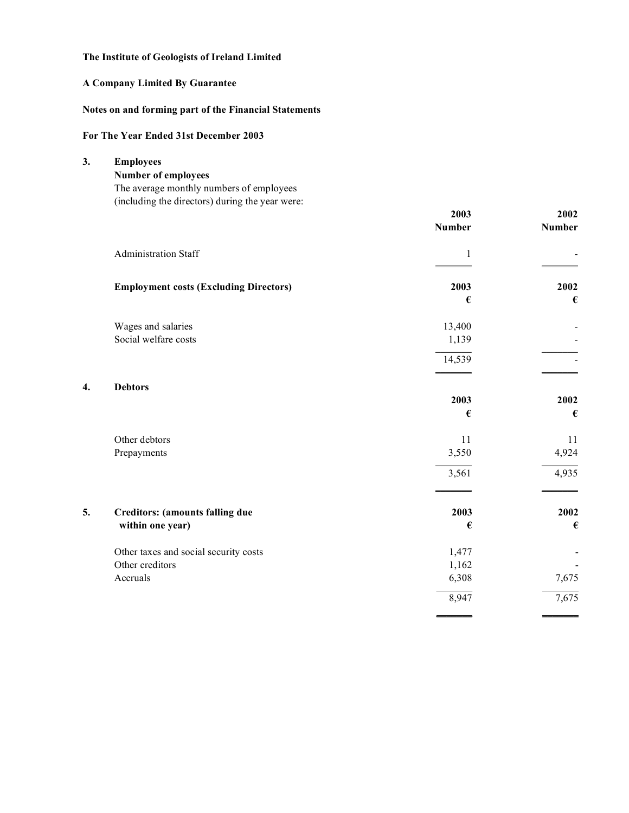## **A Company Limited By Guarantee**

## **Notes on and forming part of the Financial Statements**

### **For The Year Ended 31st December 2003**

| 3. | <b>Employees</b>                                |                  |        |
|----|-------------------------------------------------|------------------|--------|
|    | <b>Number of employees</b>                      |                  |        |
|    | The average monthly numbers of employees        |                  |        |
|    | (including the directors) during the year were: |                  |        |
|    |                                                 | 2003             | 2002   |
|    |                                                 | <b>Number</b>    | Number |
|    | Administration Staff                            | $\mathbf{1}$     |        |
|    | <b>Employment costs (Excluding Directors)</b>   | 2003             | 2002   |
|    |                                                 | €                | €      |
|    | Wages and salaries                              | 13,400           |        |
|    | Social welfare costs                            | 1,139            |        |
|    |                                                 | 14,539           |        |
| 4. | <b>Debtors</b>                                  |                  |        |
|    |                                                 | 2003             | 2002   |
|    |                                                 | €                | €      |
|    | Other debtors                                   | 11               | 11     |
|    | Prepayments                                     | 3,550            | 4,924  |
|    |                                                 | 3,561            | 4,935  |
|    |                                                 |                  |        |
| 5. | <b>Creditors:</b> (amounts falling due          | 2003             | 2002   |
|    | within one year)                                | $\pmb{\epsilon}$ | €      |
|    | Other taxes and social security costs           | 1,477            |        |
|    | Other creditors                                 | 1,162            |        |
|    | Accruals                                        | 6,308            | 7,675  |
|    |                                                 | 8,947            | 7,675  |
|    |                                                 |                  |        |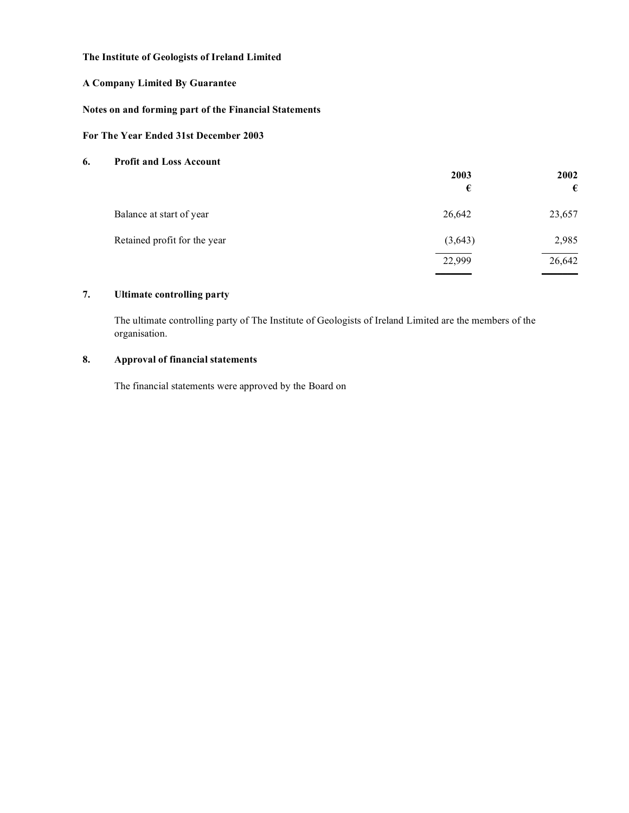### **A Company Limited By Guarantee**

### **Notes on and forming part of the Financial Statements**

### **For The Year Ended 31st December 2003**

### **6. Profit and Loss Account**

|                              | 2003<br>€ | 2002<br>€ |
|------------------------------|-----------|-----------|
| Balance at start of year     | 26,642    | 23,657    |
| Retained profit for the year | (3,643)   | 2,985     |
|                              | 22,999    | 26,642    |

### **7. Ultimate controlling party**

The ultimate controlling party of The Institute of Geologists of Ireland Limited are the members of the organisation.

### **8. Approval of financial statements**

The financial statements were approved by the Board on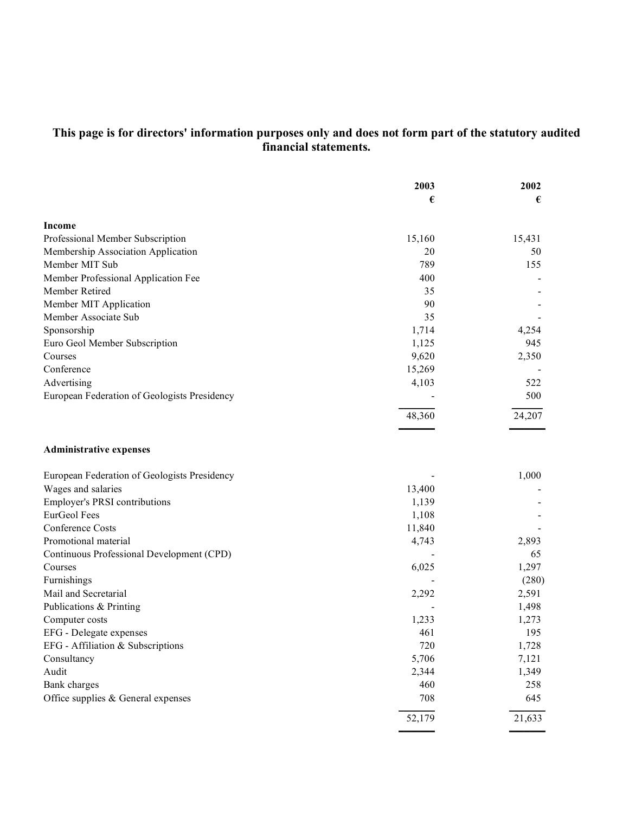### **This page is for directors' information purposes only and does not form part of the statutory audited financial statements.**

|                                              | 2003   | 2002   |
|----------------------------------------------|--------|--------|
|                                              | €      | €      |
| Income                                       |        |        |
| Professional Member Subscription             | 15,160 | 15,431 |
| Membership Association Application           | 20     | 50     |
| Member MIT Sub                               | 789    | 155    |
| Member Professional Application Fee          | 400    |        |
| Member Retired                               | 35     |        |
| Member MIT Application                       | 90     |        |
| Member Associate Sub                         | 35     |        |
| Sponsorship                                  | 1,714  | 4,254  |
| Euro Geol Member Subscription                | 1,125  | 945    |
| Courses                                      | 9,620  | 2,350  |
| Conference                                   | 15,269 |        |
| Advertising                                  | 4,103  | 522    |
| European Federation of Geologists Presidency |        | 500    |
|                                              | 48,360 | 24,207 |
| <b>Administrative expenses</b>               |        |        |
| European Federation of Geologists Presidency |        | 1,000  |
| Wages and salaries                           | 13,400 |        |
| Employer's PRSI contributions                | 1,139  |        |
| EurGeol Fees                                 | 1,108  |        |
| Conference Costs                             | 11,840 |        |
| Promotional material                         | 4,743  | 2,893  |
| Continuous Professional Development (CPD)    |        | 65     |
| Courses                                      | 6,025  | 1,297  |
| Furnishings                                  |        | (280)  |
| Mail and Secretarial                         | 2,292  | 2,591  |
| Publications & Printing                      |        | 1,498  |
| Computer costs                               | 1,233  | 1,273  |
| EFG - Delegate expenses                      | 461    | 195    |
| EFG - Affiliation & Subscriptions            | 720    | 1,728  |
| Consultancy                                  | 5,706  | 7,121  |
| Audit                                        | 2,344  | 1,349  |
| Bank charges                                 | 460    | 258    |
| Office supplies & General expenses           | 708    | 645    |
|                                              | 52,179 | 21,633 |